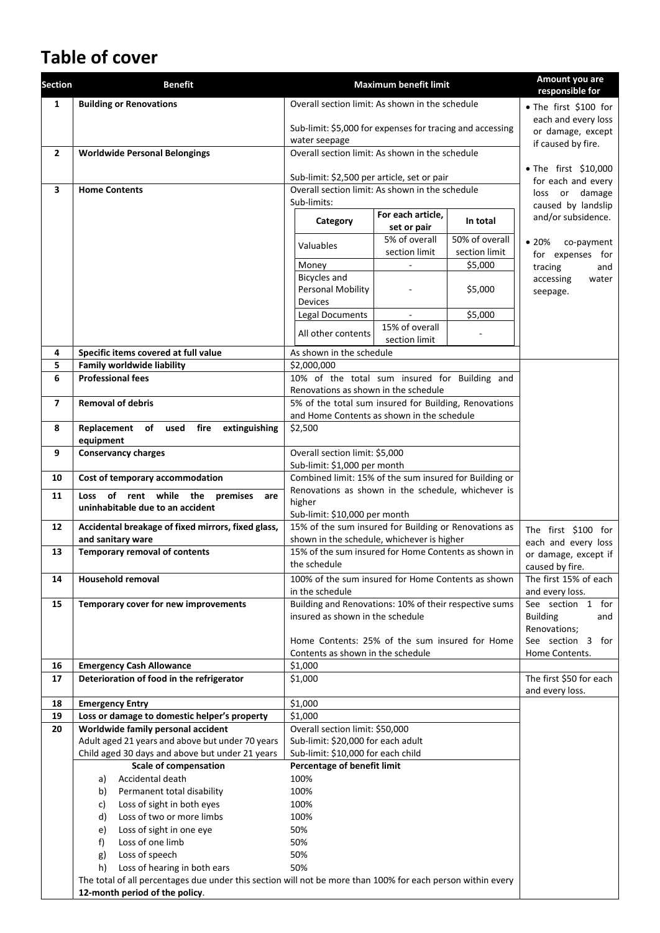# **Table of cover**

| <b>Section</b> | <b>Benefit</b>                                                                                              |                                                                                        | <b>Maximum benefit limit</b> |                       | Amount you are<br>responsible for       |
|----------------|-------------------------------------------------------------------------------------------------------------|----------------------------------------------------------------------------------------|------------------------------|-----------------------|-----------------------------------------|
| $\mathbf{1}$   | <b>Building or Renovations</b>                                                                              | Overall section limit: As shown in the schedule                                        |                              | • The first \$100 for |                                         |
|                |                                                                                                             | Sub-limit: \$5,000 for expenses for tracing and accessing                              |                              |                       | each and every loss                     |
|                |                                                                                                             | water seepage                                                                          |                              |                       | or damage, except                       |
| $\mathbf{2}$   | <b>Worldwide Personal Belongings</b>                                                                        | Overall section limit: As shown in the schedule                                        |                              |                       | if caused by fire.                      |
|                |                                                                                                             |                                                                                        |                              |                       | • The first \$10,000                    |
|                |                                                                                                             | Sub-limit: \$2,500 per article, set or pair                                            |                              |                       | for each and every                      |
| 3              | <b>Home Contents</b>                                                                                        | Overall section limit: As shown in the schedule                                        |                              |                       | loss or damage                          |
|                |                                                                                                             | Sub-limits:                                                                            | For each article,            |                       | caused by landslip                      |
|                |                                                                                                             | Category                                                                               | set or pair                  | In total              | and/or subsidence.                      |
|                |                                                                                                             | Valuables                                                                              | 5% of overall                | 50% of overall        | •20%<br>co-payment                      |
|                |                                                                                                             |                                                                                        | section limit                | section limit         | for expenses for                        |
|                |                                                                                                             | Money                                                                                  |                              | \$5,000               | tracing<br>and                          |
|                |                                                                                                             | <b>Bicycles and</b>                                                                    |                              |                       | accessing<br>water                      |
|                |                                                                                                             | <b>Personal Mobility</b>                                                               |                              | \$5,000               | seepage.                                |
|                |                                                                                                             | <b>Devices</b><br><b>Legal Documents</b>                                               |                              | \$5,000               |                                         |
|                |                                                                                                             |                                                                                        | 15% of overall               |                       |                                         |
|                |                                                                                                             | All other contents                                                                     | section limit                |                       |                                         |
| 4              | Specific items covered at full value                                                                        | As shown in the schedule                                                               |                              |                       |                                         |
| 5              | <b>Family worldwide liability</b>                                                                           | \$2,000,000                                                                            |                              |                       |                                         |
| 6              | <b>Professional fees</b>                                                                                    | 10% of the total sum insured for Building and                                          |                              |                       |                                         |
|                |                                                                                                             | Renovations as shown in the schedule                                                   |                              |                       |                                         |
| $\overline{7}$ | <b>Removal of debris</b>                                                                                    | 5% of the total sum insured for Building, Renovations                                  |                              |                       |                                         |
|                |                                                                                                             | and Home Contents as shown in the schedule                                             |                              |                       |                                         |
| 8              | fire<br>extinguishing<br>Replacement<br>of used<br>equipment                                                | \$2,500                                                                                |                              |                       |                                         |
| 9              | <b>Conservancy charges</b>                                                                                  | Overall section limit: \$5,000                                                         |                              |                       |                                         |
|                |                                                                                                             | Sub-limit: \$1,000 per month                                                           |                              |                       |                                         |
| 10             | Cost of temporary accommodation                                                                             | Combined limit: 15% of the sum insured for Building or                                 |                              |                       |                                         |
| 11             | rent while the<br>of<br>Loss<br>premises<br>are                                                             | Renovations as shown in the schedule, whichever is                                     |                              |                       |                                         |
|                | uninhabitable due to an accident                                                                            | higher                                                                                 |                              |                       |                                         |
|                |                                                                                                             | Sub-limit: \$10,000 per month<br>15% of the sum insured for Building or Renovations as |                              |                       |                                         |
| 12             | Accidental breakage of fixed mirrors, fixed glass,<br>and sanitary ware                                     | shown in the schedule, whichever is higher                                             |                              |                       | The first \$100 for                     |
| 13             | Temporary removal of contents                                                                               | 15% of the sum insured for Home Contents as shown in                                   |                              |                       | each and every loss                     |
|                |                                                                                                             | the schedule                                                                           |                              |                       | or damage, except if<br>caused by fire. |
| 14             | <b>Household removal</b>                                                                                    | 100% of the sum insured for Home Contents as shown                                     |                              |                       | The first 15% of each                   |
|                |                                                                                                             | in the schedule                                                                        |                              |                       | and every loss.                         |
| 15             | Temporary cover for new improvements                                                                        | Building and Renovations: 10% of their respective sums                                 |                              |                       | See section 1 for                       |
|                |                                                                                                             | insured as shown in the schedule                                                       |                              |                       | <b>Building</b><br>and                  |
|                |                                                                                                             |                                                                                        |                              |                       | Renovations;                            |
|                |                                                                                                             | Home Contents: 25% of the sum insured for Home                                         |                              |                       | See section 3 for                       |
| 16             | <b>Emergency Cash Allowance</b>                                                                             | Contents as shown in the schedule<br>\$1,000                                           |                              |                       | Home Contents.                          |
| 17             | Deterioration of food in the refrigerator                                                                   | \$1,000                                                                                |                              |                       | The first \$50 for each                 |
|                |                                                                                                             |                                                                                        |                              |                       | and every loss.                         |
| 18             | <b>Emergency Entry</b>                                                                                      | \$1,000                                                                                |                              |                       |                                         |
| 19             | Loss or damage to domestic helper's property                                                                | \$1,000                                                                                |                              |                       |                                         |
| 20             | Worldwide family personal accident                                                                          | Overall section limit: \$50,000                                                        |                              |                       |                                         |
|                | Adult aged 21 years and above but under 70 years                                                            | Sub-limit: \$20,000 for each adult                                                     |                              |                       |                                         |
|                | Child aged 30 days and above but under 21 years                                                             | Sub-limit: \$10,000 for each child                                                     |                              |                       |                                         |
|                | <b>Scale of compensation</b>                                                                                | Percentage of benefit limit                                                            |                              |                       |                                         |
|                | Accidental death<br>a)                                                                                      | 100%                                                                                   |                              |                       |                                         |
|                | Permanent total disability<br>b)                                                                            | 100%                                                                                   |                              |                       |                                         |
|                | Loss of sight in both eyes<br>c)                                                                            | 100%                                                                                   |                              |                       |                                         |
|                | Loss of two or more limbs<br>d)                                                                             | 100%                                                                                   |                              |                       |                                         |
|                | Loss of sight in one eye<br>e)                                                                              | 50%                                                                                    |                              |                       |                                         |
|                | Loss of one limb<br>f)<br>Loss of speech                                                                    | 50%<br>50%                                                                             |                              |                       |                                         |
|                | g)<br>Loss of hearing in both ears<br>h)                                                                    | 50%                                                                                    |                              |                       |                                         |
|                | The total of all percentages due under this section will not be more than 100% for each person within every |                                                                                        |                              |                       |                                         |
|                | 12-month period of the policy.                                                                              |                                                                                        |                              |                       |                                         |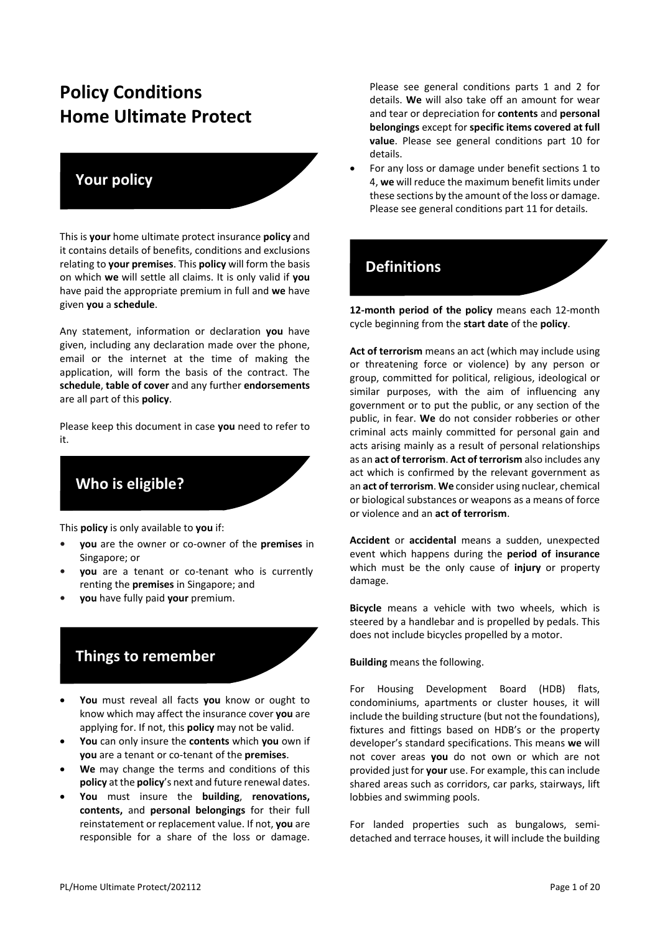# **Policy Conditions Home Ultimate Protect**

#### **Your policy**

This is **your** home ultimate protect insurance **policy** and it contains details of benefits, conditions and exclusions relating to **your premises**. This **policy** will form the basis on which **we** will settle all claims. It is only valid if **you**  have paid the appropriate premium in full and **we** have given **you** a **schedule**.

Any statement, information or declaration **you** have given, including any declaration made over the phone, email or the internet at the time of making the application, will form the basis of the contract. The **schedule**, **table of cover** and any further **endorsements**  are all part of this **policy**.

Please keep this document in case **you** need to refer to it.

**Who is eligible?** 

This **policy** is only available to **you** if:

- **• you** are the owner or co-owner of the **premises** in Singapore; or
- **• you** are a tenant or co-tenant who is currently renting the **premises** in Singapore; and
- **• you** have fully paid **your** premium.

# **Things to remember**

- **You** must reveal all facts **you** know or ought to know which may affect the insurance cover **you** are applying for. If not, this **policy** may not be valid.
- **You** can only insure the **contents** which **you** own if **you** are a tenant or co-tenant of the **premises**.
- We may change the terms and conditions of this **policy** at the **policy**'s next and future renewal dates.
- **You** must insure the **building**, **renovations, contents,** and **personal belongings** for their full reinstatement or replacement value. If not, **you** are responsible for a share of the loss or damage.

Please see general conditions parts 1 and 2 for details. **We** will also take off an amount for wear and tear or depreciation for **contents** and **personal belongings** except for **specific items covered at full value**. Please see general conditions part 10 for details.

• For any loss or damage under benefit sections 1 to 4, **we** will reduce the maximum benefit limits under these sections by the amount of the loss or damage. Please see general conditions part 11 for details.

## **Definitions**

**12-month period of the policy** means each 12-month cycle beginning from the **start date** of the **policy**.

**Act of terrorism** means an act (which may include using or threatening force or violence) by any person or group, committed for political, religious, ideological or similar purposes, with the aim of influencing any government or to put the public, or any section of the public, in fear. **We** do not consider robberies or other criminal acts mainly committed for personal gain and acts arising mainly as a result of personal relationships as an **act of terrorism**. **Act of terrorism** also includes any act which is confirmed by the relevant government as an **act of terrorism**. **We** consider using nuclear, chemical or biological substances or weapons as a means of force or violence and an **act of terrorism**.

**Accident** or **accidental** means a sudden, unexpected event which happens during the **period of insurance**  which must be the only cause of **injury** or property damage.

**Bicycle** means a vehicle with two wheels, which is steered by a handlebar and is propelled by pedals. This does not include bicycles propelled by a motor.

#### **Building** means the following.

For Housing Development Board (HDB) flats, condominiums, apartments or cluster houses, it will include the building structure (but not the foundations), fixtures and fittings based on HDB's or the property developer's standard specifications. This means **we** will not cover areas **you** do not own or which are not provided just for **your** use. For example, this can include shared areas such as corridors, car parks, stairways, lift lobbies and swimming pools.

For landed properties such as bungalows, semidetached and terrace houses, it will include the building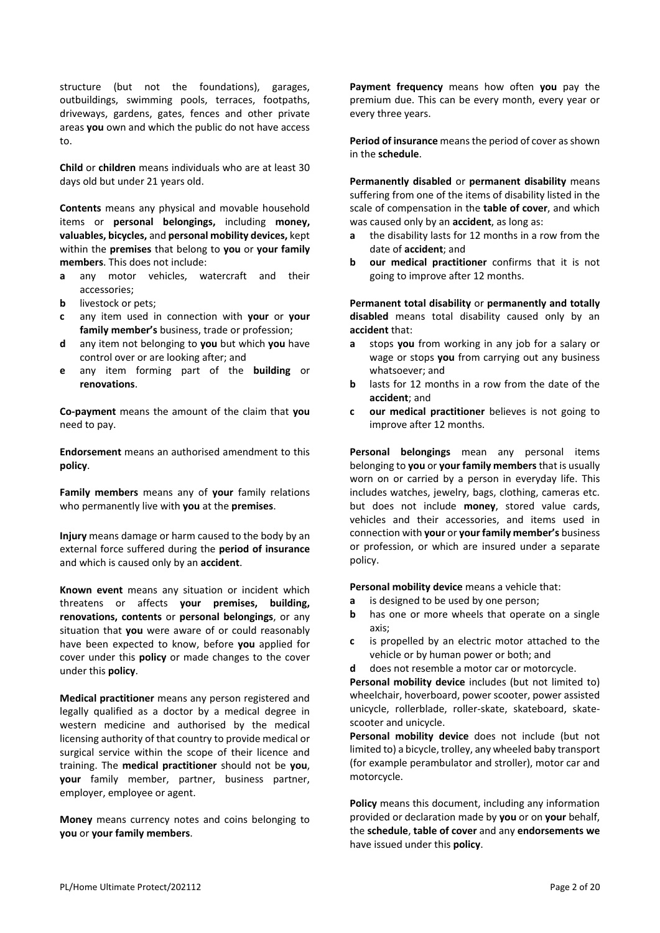structure (but not the foundations), garages, outbuildings, swimming pools, terraces, footpaths, driveways, gardens, gates, fences and other private areas **you** own and which the public do not have access to.

**Child** or **children** means individuals who are at least 30 days old but under 21 years old.

**Contents** means any physical and movable household items or **personal belongings,** including **money, valuables, bicycles,** and **personal mobility devices,** kept within the **premises** that belong to **you** or **your family members**. This does not include:

- **a** any motor vehicles, watercraft and their accessories;
- **b** livestock or pets;
- **c** any item used in connection with **your** or **your family member's** business, trade or profession;
- **d** any item not belonging to **you** but which **you** have control over or are looking after; and
- **e** any item forming part of the **building** or **renovations**.

**Co-payment** means the amount of the claim that **you** need to pay.

**Endorsement** means an authorised amendment to this **policy**.

**Family members** means any of **your** family relations who permanently live with **you** at the **premises**.

**Injury** means damage or harm caused to the body by an external force suffered during the **period of insurance**  and which is caused only by an **accident**.

**Known event** means any situation or incident which threatens or affects **your premises, building, renovations, contents** or **personal belongings**, or any situation that **you** were aware of or could reasonably have been expected to know, before **you** applied for cover under this **policy** or made changes to the cover under this **policy**.

**Medical practitioner** means any person registered and legally qualified as a doctor by a medical degree in western medicine and authorised by the medical licensing authority of that country to provide medical or surgical service within the scope of their licence and training. The **medical practitioner** should not be **you**, **your** family member, partner, business partner, employer, employee or agent.

**Money** means currency notes and coins belonging to **you** or **your family members**.

**Payment frequency** means how often **you** pay the premium due. This can be every month, every year or every three years.

**Period of insurance** means the period of cover as shown in the **schedule**.

**Permanently disabled** or **permanent disability** means suffering from one of the items of disability listed in the scale of compensation in the **table of cover**, and which was caused only by an **accident**, as long as:

- **a** the disability lasts for 12 months in a row from the date of **accident**; and
- **b our medical practitioner** confirms that it is not going to improve after 12 months.

**Permanent total disability** or **permanently and totally disabled** means total disability caused only by an **accident** that:

- **a** stops **you** from working in any job for a salary or wage or stops **you** from carrying out any business whatsoever; and
- **b** lasts for 12 months in a row from the date of the **accident**; and
- **c our medical practitioner** believes is not going to improve after 12 months.

**Personal belongings** mean any personal items belonging to **you** or **your family members**that is usually worn on or carried by a person in everyday life. This includes watches, jewelry, bags, clothing, cameras etc. but does not include **money**, stored value cards, vehicles and their accessories, and items used in connection with **your** or **your family member's** business or profession, or which are insured under a separate policy.

**Personal mobility device** means a vehicle that:

- **a** is designed to be used by one person;
- **b** has one or more wheels that operate on a single axis;
- **c** is propelled by an electric motor attached to the vehicle or by human power or both; and
- **d** does not resemble a motor car or motorcycle.

**Personal mobility device** includes (but not limited to) wheelchair, hoverboard, power scooter, power assisted unicycle, rollerblade, roller-skate, skateboard, skatescooter and unicycle.

**Personal mobility device** does not include (but not limited to) a bicycle, trolley, any wheeled baby transport (for example perambulator and stroller), motor car and motorcycle.

**Policy** means this document, including any information provided or declaration made by **you** or on **your** behalf, the **schedule**, **table of cover** and any **endorsements we**  have issued under this **policy**.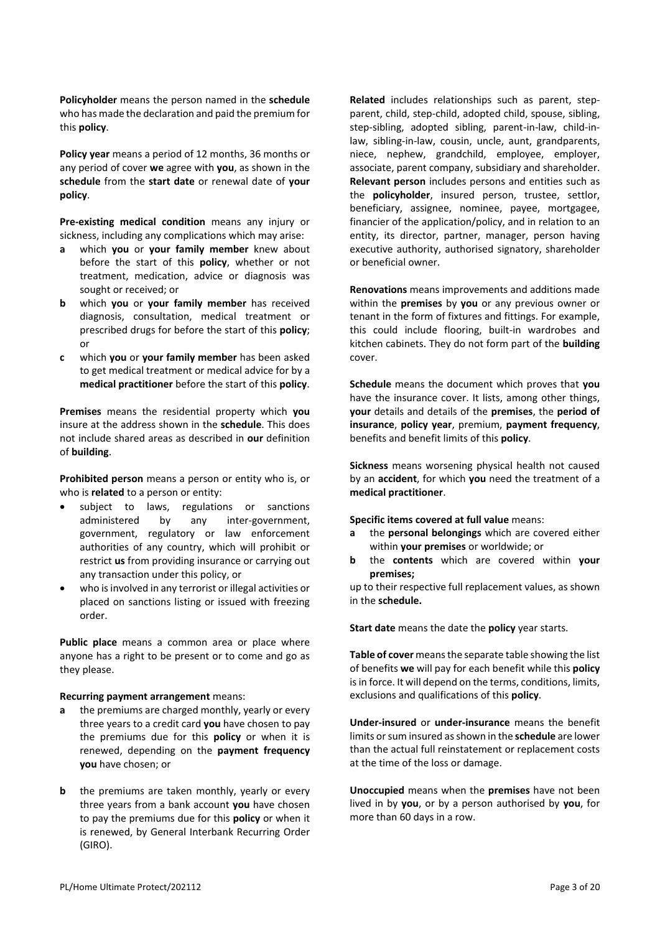**Policyholder** means the person named in the **schedule**  who has made the declaration and paid the premium for this **policy**.

**Policy year** means a period of 12 months, 36 months or any period of cover **we** agree with **you**, as shown in the **schedule** from the **start date** or renewal date of **your policy**.

**Pre-existing medical condition** means any injury or sickness, including any complications which may arise:

- **a** which **you** or **your family member** knew about before the start of this **policy**, whether or not treatment, medication, advice or diagnosis was sought or received; or
- **b** which **you** or **your family member** has received diagnosis, consultation, medical treatment or prescribed drugs for before the start of this **policy**; or
- **c** which **you** or **your family member** has been asked to get medical treatment or medical advice for by a **medical practitioner** before the start of this **policy**.

**Premises** means the residential property which **you**  insure at the address shown in the **schedule**. This does not include shared areas as described in **our** definition of **building**.

**Prohibited person** means a person or entity who is, or who is **related** to a person or entity:

- subject to laws, regulations or sanctions administered by any inter-government, government, regulatory or law enforcement authorities of any country, which will prohibit or restrict **us** from providing insurance or carrying out any transaction under this policy, or
- who is involved in any terrorist or illegal activities or placed on sanctions listing or issued with freezing order.

**Public place** means a common area or place where anyone has a right to be present or to come and go as they please.

#### **Recurring payment arrangement** means:

- **a** the premiums are charged monthly, yearly or every three years to a credit card **you** have chosen to pay the premiums due for this **policy** or when it is renewed, depending on the **payment frequency you** have chosen; or
- **b** the premiums are taken monthly, yearly or every three years from a bank account **you** have chosen to pay the premiums due for this **policy** or when it is renewed, by General Interbank Recurring Order (GIRO).

**Related** includes relationships such as parent, stepparent, child, step-child, adopted child, spouse, sibling, step-sibling, adopted sibling, parent-in-law, child-inlaw, sibling-in-law, cousin, uncle, aunt, grandparents, niece, nephew, grandchild, employee, employer, associate, parent company, subsidiary and shareholder. **Relevant person** includes persons and entities such as the **policyholder**, insured person, trustee, settlor, beneficiary, assignee, nominee, payee, mortgagee, financier of the application/policy, and in relation to an entity, its director, partner, manager, person having executive authority, authorised signatory, shareholder or beneficial owner.

**Renovations** means improvements and additions made within the **premises** by **you** or any previous owner or tenant in the form of fixtures and fittings. For example, this could include flooring, built-in wardrobes and kitchen cabinets. They do not form part of the **building**  cover.

**Schedule** means the document which proves that **you**  have the insurance cover. It lists, among other things, **your** details and details of the **premises**, the **period of insurance**, **policy year**, premium, **payment frequency**, benefits and benefit limits of this **policy**.

**Sickness** means worsening physical health not caused by an **accident**, for which **you** need the treatment of a **medical practitioner**.

**Specific items covered at full value** means:

- **a** the **personal belongings** which are covered either within **your premises** or worldwide; or
- **b** the **contents** which are covered within **your premises;**

up to their respective full replacement values, as shown in the **schedule.**

**Start date** means the date the **policy** year starts.

**Table of cover** means the separate table showing the list of benefits **we** will pay for each benefit while this **policy**  is in force. It will depend on the terms, conditions, limits, exclusions and qualifications of this **policy**.

**Under-insured** or **under-insurance** means the benefit limits or sum insured as shown in the **schedule** are lower than the actual full reinstatement or replacement costs at the time of the loss or damage.

**Unoccupied** means when the **premises** have not been lived in by **you**, or by a person authorised by **you**, for more than 60 days in a row.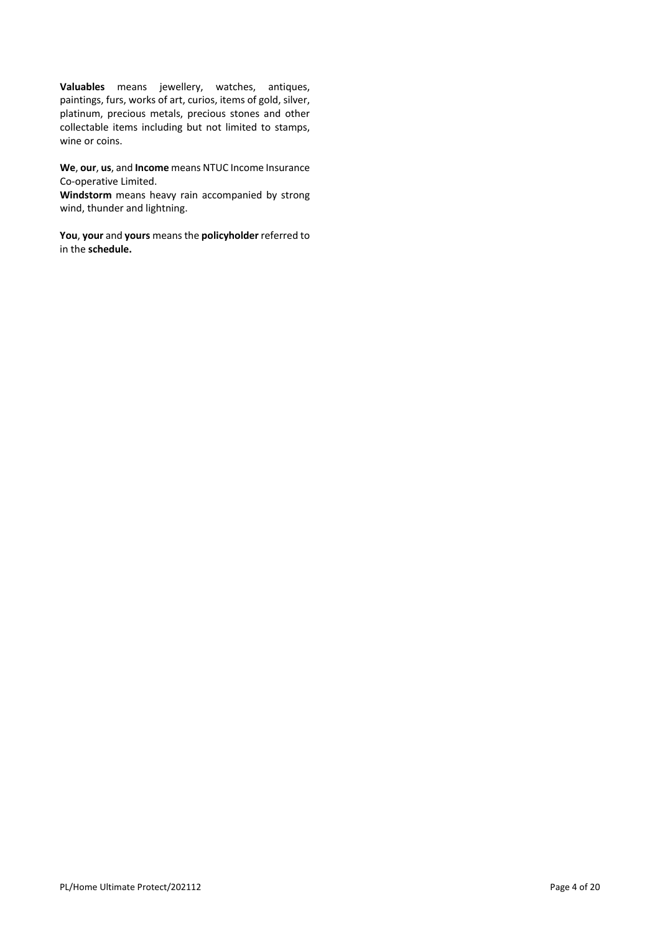**Valuables** means jewellery, watches, antiques, paintings, furs, works of art, curios, items of gold, silver, platinum, precious metals, precious stones and other collectable items including but not limited to stamps, wine or coins.

**We**, **our**, **us**, and **Income** means NTUC Income Insurance Co-operative Limited.

**Windstorm** means heavy rain accompanied by strong wind, thunder and lightning.

**You**, **your** and **yours** means the **policyholder** referred to in the **schedule.**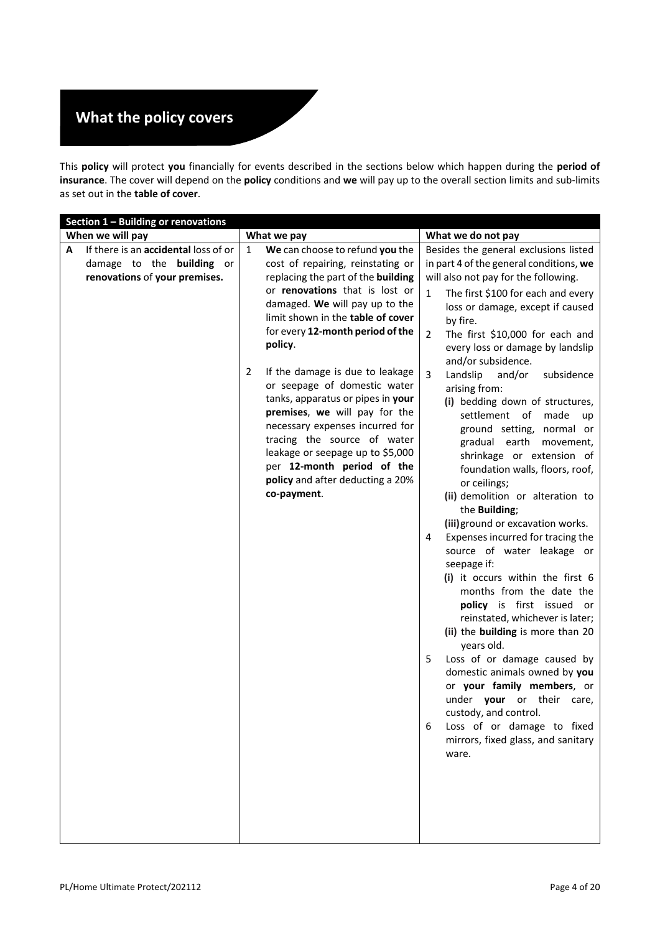# **What the policy covers**

This **policy** will protect **you** financially for events described in the sections below which happen during the **period of insurance**. The cover will depend on the **policy** conditions and **we** will pay up to the overall section limits and sub-limits as set out in the **table of cover**.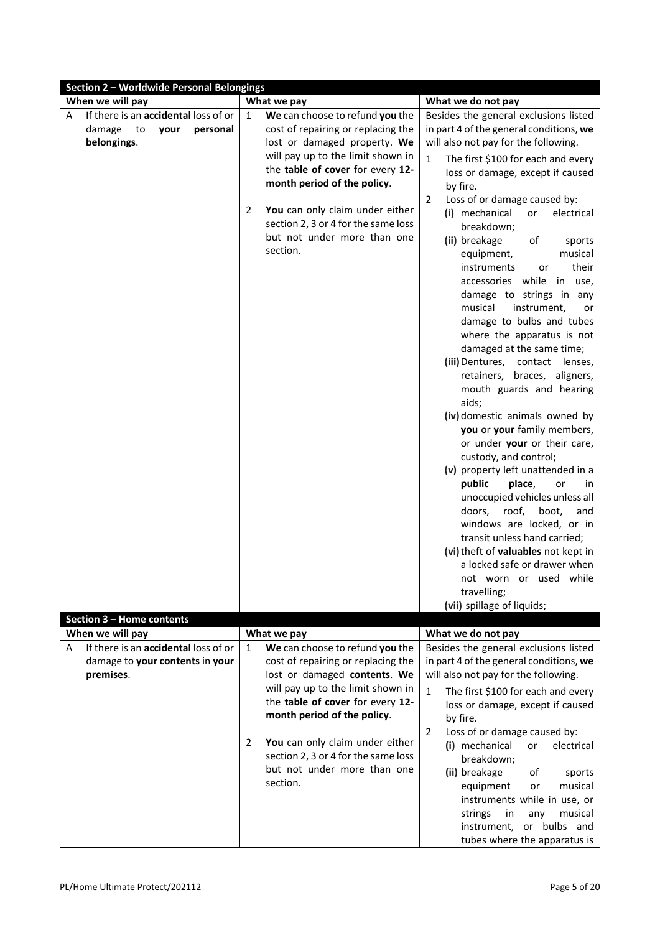| Section 2 - Worldwide Personal Belongings |                                                                    |                                                           |  |  |
|-------------------------------------------|--------------------------------------------------------------------|-----------------------------------------------------------|--|--|
| When we will pay                          | What we pay                                                        | What we do not pay                                        |  |  |
| If there is an accidental loss of or<br>Α | We can choose to refund you the<br>1                               | Besides the general exclusions listed                     |  |  |
| damage<br>to<br>your<br>personal          | cost of repairing or replacing the                                 | in part 4 of the general conditions, we                   |  |  |
| belongings.                               | lost or damaged property. We                                       | will also not pay for the following.                      |  |  |
|                                           | will pay up to the limit shown in                                  | $\mathbf{1}$<br>The first \$100 for each and every        |  |  |
|                                           | the table of cover for every 12-                                   | loss or damage, except if caused                          |  |  |
|                                           | month period of the policy.                                        | by fire.                                                  |  |  |
|                                           |                                                                    | Loss of or damage caused by:<br>2                         |  |  |
|                                           | You can only claim under either<br>2                               | (i) mechanical<br>electrical<br>or                        |  |  |
|                                           | section 2, 3 or 4 for the same loss<br>but not under more than one | breakdown;                                                |  |  |
|                                           | section.                                                           | (ii) breakage<br>of<br>sports                             |  |  |
|                                           |                                                                    | equipment,<br>musical                                     |  |  |
|                                           |                                                                    | their<br>instruments<br>or                                |  |  |
|                                           |                                                                    | accessories while<br>in<br>use,                           |  |  |
|                                           |                                                                    | damage to strings in any<br>musical<br>instrument,        |  |  |
|                                           |                                                                    | or<br>damage to bulbs and tubes                           |  |  |
|                                           |                                                                    | where the apparatus is not                                |  |  |
|                                           |                                                                    | damaged at the same time;                                 |  |  |
|                                           |                                                                    | (iii) Dentures, contact<br>lenses,                        |  |  |
|                                           |                                                                    | retainers, braces, aligners,                              |  |  |
|                                           |                                                                    | mouth guards and hearing                                  |  |  |
|                                           |                                                                    | aids;                                                     |  |  |
|                                           |                                                                    | (iv) domestic animals owned by                            |  |  |
|                                           |                                                                    | you or your family members,                               |  |  |
|                                           |                                                                    | or under your or their care,                              |  |  |
|                                           |                                                                    | custody, and control;                                     |  |  |
|                                           |                                                                    | (v) property left unattended in a                         |  |  |
|                                           |                                                                    | public<br>place,<br>or<br>in                              |  |  |
|                                           |                                                                    | unoccupied vehicles unless all                            |  |  |
|                                           |                                                                    | doors,<br>roof,<br>boot,<br>and                           |  |  |
|                                           |                                                                    | windows are locked, or in<br>transit unless hand carried; |  |  |
|                                           |                                                                    | (vi) theft of valuables not kept in                       |  |  |
|                                           |                                                                    | a locked safe or drawer when                              |  |  |
|                                           |                                                                    | not worn or used while                                    |  |  |
|                                           |                                                                    | travelling;                                               |  |  |
|                                           |                                                                    | (vii) spillage of liquids;                                |  |  |
| Section 3 - Home contents                 |                                                                    |                                                           |  |  |
| When we will pay                          | What we pay                                                        | What we do not pay                                        |  |  |
| If there is an accidental loss of or<br>A | We can choose to refund you the<br>1                               | Besides the general exclusions listed                     |  |  |
| damage to your contents in your           | cost of repairing or replacing the                                 | in part 4 of the general conditions, we                   |  |  |
| premises.                                 | lost or damaged contents. We                                       | will also not pay for the following.                      |  |  |
|                                           | will pay up to the limit shown in                                  | $\mathbf{1}$<br>The first \$100 for each and every        |  |  |
|                                           | the table of cover for every 12-                                   | loss or damage, except if caused                          |  |  |
|                                           | month period of the policy.                                        | by fire.                                                  |  |  |
|                                           | You can only claim under either<br>2                               | Loss of or damage caused by:<br>2                         |  |  |
|                                           | section 2, 3 or 4 for the same loss                                | (i) mechanical<br>electrical<br>or                        |  |  |
|                                           | but not under more than one                                        | breakdown;                                                |  |  |
|                                           | section.                                                           | (ii) breakage<br>of<br>sports<br>musical                  |  |  |
|                                           |                                                                    | equipment<br>or<br>instruments while in use, or           |  |  |
|                                           |                                                                    | strings<br>musical<br>in<br>any                           |  |  |
|                                           |                                                                    | instrument, or bulbs and                                  |  |  |
|                                           |                                                                    |                                                           |  |  |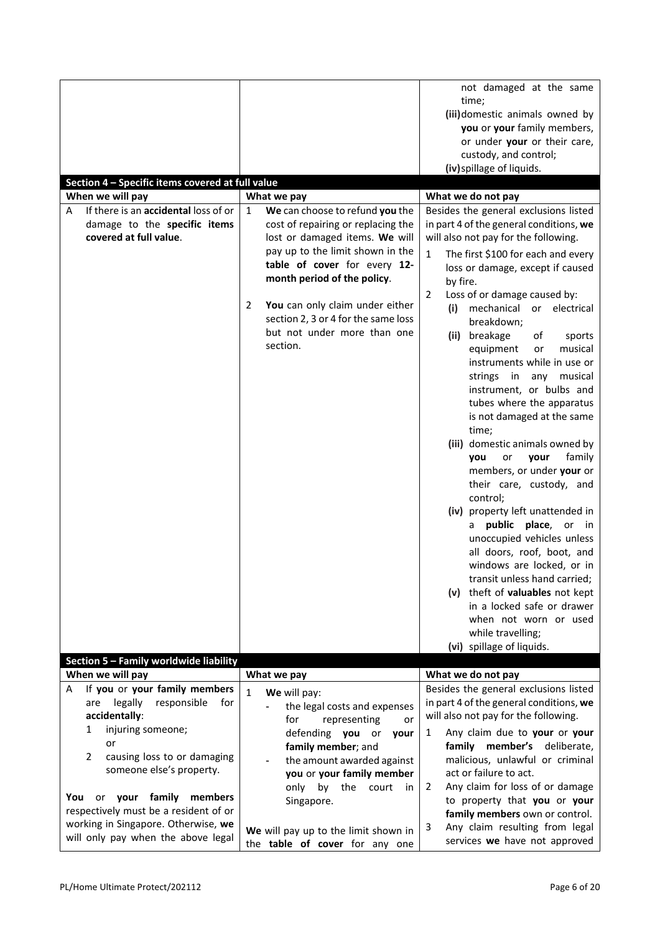|                                                                                                               |                                                                                                                                                                                                                 | not damaged at the same<br>time;                                                                                                                                                                                                                                                                                                                                                                                                                                                                                                                                                                                                                                                                                                                                    |
|---------------------------------------------------------------------------------------------------------------|-----------------------------------------------------------------------------------------------------------------------------------------------------------------------------------------------------------------|---------------------------------------------------------------------------------------------------------------------------------------------------------------------------------------------------------------------------------------------------------------------------------------------------------------------------------------------------------------------------------------------------------------------------------------------------------------------------------------------------------------------------------------------------------------------------------------------------------------------------------------------------------------------------------------------------------------------------------------------------------------------|
|                                                                                                               |                                                                                                                                                                                                                 | (iii)domestic animals owned by<br>you or your family members,                                                                                                                                                                                                                                                                                                                                                                                                                                                                                                                                                                                                                                                                                                       |
|                                                                                                               |                                                                                                                                                                                                                 | or under your or their care,<br>custody, and control;                                                                                                                                                                                                                                                                                                                                                                                                                                                                                                                                                                                                                                                                                                               |
|                                                                                                               |                                                                                                                                                                                                                 | (iv) spillage of liquids.                                                                                                                                                                                                                                                                                                                                                                                                                                                                                                                                                                                                                                                                                                                                           |
| Section 4 - Specific items covered at full value<br>When we will pay                                          | What we pay                                                                                                                                                                                                     | What we do not pay                                                                                                                                                                                                                                                                                                                                                                                                                                                                                                                                                                                                                                                                                                                                                  |
| If there is an accidental loss of or<br>A<br>damage to the specific items<br>covered at full value.           | We can choose to refund you the<br>1<br>cost of repairing or replacing the<br>lost or damaged items. We will<br>pay up to the limit shown in the<br>table of cover for every 12-<br>month period of the policy. | Besides the general exclusions listed<br>in part 4 of the general conditions, we<br>will also not pay for the following.<br>The first \$100 for each and every<br>$\mathbf{1}$<br>loss or damage, except if caused<br>by fire.                                                                                                                                                                                                                                                                                                                                                                                                                                                                                                                                      |
|                                                                                                               | 2<br>You can only claim under either<br>section 2, 3 or 4 for the same loss<br>but not under more than one<br>section.                                                                                          | Loss of or damage caused by:<br>2<br>mechanical or electrical<br>(i)<br>breakdown;<br>(ii) breakage<br>of<br>sports<br>equipment<br>musical<br>or<br>instruments while in use or<br>strings in<br>any<br>musical<br>instrument, or bulbs and<br>tubes where the apparatus<br>is not damaged at the same<br>time;<br>(iii) domestic animals owned by<br>family<br>your<br>you<br>or<br>members, or under your or<br>their care, custody, and<br>control;<br>(iv) property left unattended in<br>public place, or<br>in.<br>a<br>unoccupied vehicles unless<br>all doors, roof, boot, and<br>windows are locked, or in<br>transit unless hand carried;<br>(v) theft of valuables not kept<br>in a locked safe or drawer<br>when not worn or used<br>while travelling; |
| Section 5 - Family worldwide liability                                                                        |                                                                                                                                                                                                                 | (vi) spillage of liquids.                                                                                                                                                                                                                                                                                                                                                                                                                                                                                                                                                                                                                                                                                                                                           |
| When we will pay                                                                                              | What we pay                                                                                                                                                                                                     | What we do not pay                                                                                                                                                                                                                                                                                                                                                                                                                                                                                                                                                                                                                                                                                                                                                  |
| If you or your family members<br>A                                                                            | $\mathbf{1}$<br>We will pay:                                                                                                                                                                                    | Besides the general exclusions listed                                                                                                                                                                                                                                                                                                                                                                                                                                                                                                                                                                                                                                                                                                                               |
| legally<br>responsible<br>for<br>are<br>accidentally:                                                         | the legal costs and expenses                                                                                                                                                                                    | in part 4 of the general conditions, we<br>will also not pay for the following.                                                                                                                                                                                                                                                                                                                                                                                                                                                                                                                                                                                                                                                                                     |
| injuring someone;<br>1<br>or<br>2<br>causing loss to or damaging<br>someone else's property.                  | for<br>representing<br>or<br>defending you or<br>your<br>family member; and<br>the amount awarded against<br>you or your family member<br>only<br>by<br>the<br>court<br>in                                      | Any claim due to your or your<br>1<br>family member's deliberate,<br>malicious, unlawful or criminal<br>act or failure to act.<br>Any claim for loss of or damage<br>2                                                                                                                                                                                                                                                                                                                                                                                                                                                                                                                                                                                              |
| or your family members<br>You<br>respectively must be a resident of or<br>working in Singapore. Otherwise, we | Singapore.<br>We will pay up to the limit shown in                                                                                                                                                              | to property that you or your<br>family members own or control.<br>Any claim resulting from legal<br>3                                                                                                                                                                                                                                                                                                                                                                                                                                                                                                                                                                                                                                                               |
| will only pay when the above legal                                                                            | the table of cover for any one                                                                                                                                                                                  | services we have not approved                                                                                                                                                                                                                                                                                                                                                                                                                                                                                                                                                                                                                                                                                                                                       |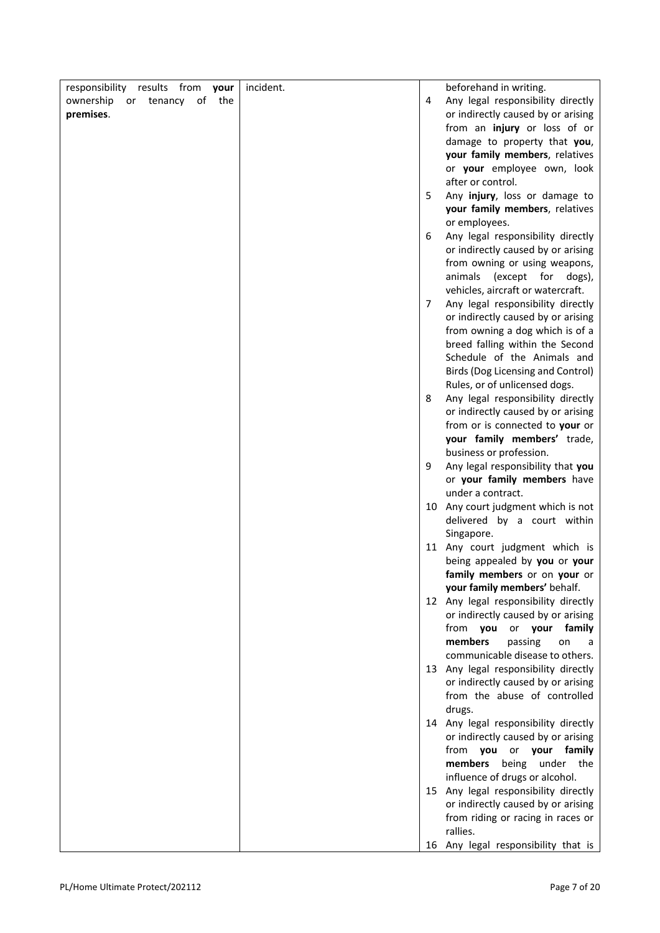| from<br>responsibility results<br>your | incident. |   | beforehand in writing.                       |
|----------------------------------------|-----------|---|----------------------------------------------|
| of<br>the<br>ownership<br>or tenancy   |           | 4 | Any legal responsibility directly            |
| premises.                              |           |   | or indirectly caused by or arising           |
|                                        |           |   | from an injury or loss of or                 |
|                                        |           |   | damage to property that you,                 |
|                                        |           |   | your family members, relatives               |
|                                        |           |   | or your employee own, look                   |
|                                        |           |   | after or control.                            |
|                                        |           | 5 | Any injury, loss or damage to                |
|                                        |           |   | your family members, relatives               |
|                                        |           |   | or employees.                                |
|                                        |           | 6 | Any legal responsibility directly            |
|                                        |           |   | or indirectly caused by or arising           |
|                                        |           |   | from owning or using weapons,                |
|                                        |           |   | animals (except for dogs),                   |
|                                        |           |   | vehicles, aircraft or watercraft.            |
|                                        |           | 7 | Any legal responsibility directly            |
|                                        |           |   | or indirectly caused by or arising           |
|                                        |           |   | from owning a dog which is of a              |
|                                        |           |   | breed falling within the Second              |
|                                        |           |   | Schedule of the Animals and                  |
|                                        |           |   | Birds (Dog Licensing and Control)            |
|                                        |           |   | Rules, or of unlicensed dogs.                |
|                                        |           | 8 | Any legal responsibility directly            |
|                                        |           |   | or indirectly caused by or arising           |
|                                        |           |   | from or is connected to your or              |
|                                        |           |   | your family members' trade,                  |
|                                        |           |   | business or profession.                      |
|                                        |           | 9 | Any legal responsibility that you            |
|                                        |           |   | or your family members have                  |
|                                        |           |   | under a contract.                            |
|                                        |           |   | 10 Any court judgment which is not           |
|                                        |           |   | delivered by a court within                  |
|                                        |           |   | Singapore.<br>11 Any court judgment which is |
|                                        |           |   | being appealed by you or your                |
|                                        |           |   | family members or on your or                 |
|                                        |           |   | your family members' behalf.                 |
|                                        |           |   | 12 Any legal responsibility directly         |
|                                        |           |   | or indirectly caused by or arising           |
|                                        |           |   | from you or your<br>family                   |
|                                        |           |   | members<br>passing<br>on<br>a                |
|                                        |           |   | communicable disease to others.              |
|                                        |           |   | 13 Any legal responsibility directly         |
|                                        |           |   | or indirectly caused by or arising           |
|                                        |           |   | from the abuse of controlled                 |
|                                        |           |   | drugs.                                       |
|                                        |           |   | 14 Any legal responsibility directly         |
|                                        |           |   | or indirectly caused by or arising           |
|                                        |           |   | from you or your family                      |
|                                        |           |   | members being<br>under the                   |
|                                        |           |   | influence of drugs or alcohol.               |
|                                        |           |   | 15 Any legal responsibility directly         |
|                                        |           |   | or indirectly caused by or arising           |
|                                        |           |   | from riding or racing in races or            |
|                                        |           |   | rallies.                                     |
|                                        |           |   | 16 Any legal responsibility that is          |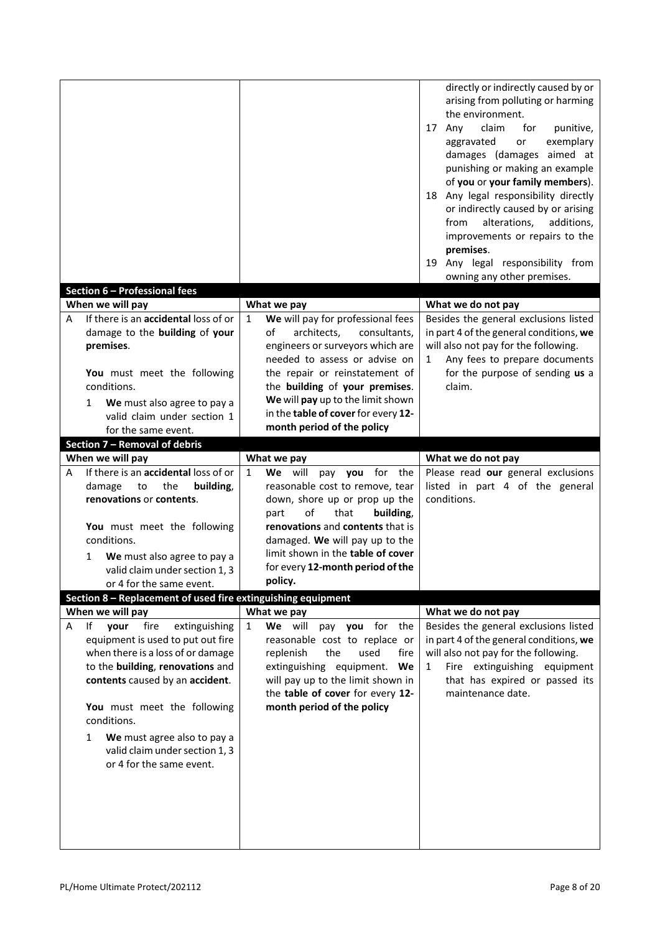| Section 6 - Professional fees                                                                                                                                                                                        |                                                                                                                                                                                                                                                                      | directly or indirectly caused by or<br>arising from polluting or harming<br>the environment.<br>claim<br>17 Any<br>for<br>punitive,<br>exemplary<br>aggravated<br>or<br>damages (damages aimed at<br>punishing or making an example<br>of you or your family members).<br>18 Any legal responsibility directly<br>or indirectly caused by or arising<br>alterations,<br>from<br>additions,<br>improvements or repairs to the<br>premises.<br>19 Any legal responsibility from<br>owning any other premises. |
|----------------------------------------------------------------------------------------------------------------------------------------------------------------------------------------------------------------------|----------------------------------------------------------------------------------------------------------------------------------------------------------------------------------------------------------------------------------------------------------------------|-------------------------------------------------------------------------------------------------------------------------------------------------------------------------------------------------------------------------------------------------------------------------------------------------------------------------------------------------------------------------------------------------------------------------------------------------------------------------------------------------------------|
| When we will pay                                                                                                                                                                                                     | What we pay                                                                                                                                                                                                                                                          | What we do not pay                                                                                                                                                                                                                                                                                                                                                                                                                                                                                          |
| If there is an accidental loss of or<br>A                                                                                                                                                                            | We will pay for professional fees<br>1                                                                                                                                                                                                                               | Besides the general exclusions listed                                                                                                                                                                                                                                                                                                                                                                                                                                                                       |
| damage to the building of your<br>premises.<br>You must meet the following<br>conditions.<br>We must also agree to pay a<br>1<br>valid claim under section 1<br>for the same event.<br>Section 7 - Removal of debris | of<br>architects,<br>engineers or surveyors which are<br>needed to assess or advise on<br>the repair or reinstatement of<br>the building of your premises.<br>We will pay up to the limit shown<br>in the table of cover for every 12-<br>month period of the policy | in part 4 of the general conditions, we<br>consultants,<br>will also not pay for the following.<br>Any fees to prepare documents<br>1<br>for the purpose of sending us a<br>claim.                                                                                                                                                                                                                                                                                                                          |
| When we will pay                                                                                                                                                                                                     | What we pay                                                                                                                                                                                                                                                          | What we do not pay                                                                                                                                                                                                                                                                                                                                                                                                                                                                                          |
| If there is an accidental loss of or<br>А                                                                                                                                                                            | We will<br>pay you for the<br>$\mathbf{1}$                                                                                                                                                                                                                           | Please read our general exclusions<br>listed in part 4 of the general                                                                                                                                                                                                                                                                                                                                                                                                                                       |
| the<br>damage<br>to<br>renovations or contents.<br>You must meet the following<br>conditions.<br>We must also agree to pay a<br>1<br>valid claim under section 1, 3<br>or 4 for the same event.                      | building,<br>reasonable cost to remove, tear<br>down, shore up or prop up the<br>of<br>that<br>part<br>renovations and contents that is<br>damaged. We will pay up to the<br>limit shown in the table of cover<br>for every 12-month period of the<br>policy.        | conditions.<br>building,                                                                                                                                                                                                                                                                                                                                                                                                                                                                                    |
|                                                                                                                                                                                                                      | Section 8 - Replacement of used fire extinguishing equipment                                                                                                                                                                                                         |                                                                                                                                                                                                                                                                                                                                                                                                                                                                                                             |
| When we will pay                                                                                                                                                                                                     | What we pay                                                                                                                                                                                                                                                          | What we do not pay                                                                                                                                                                                                                                                                                                                                                                                                                                                                                          |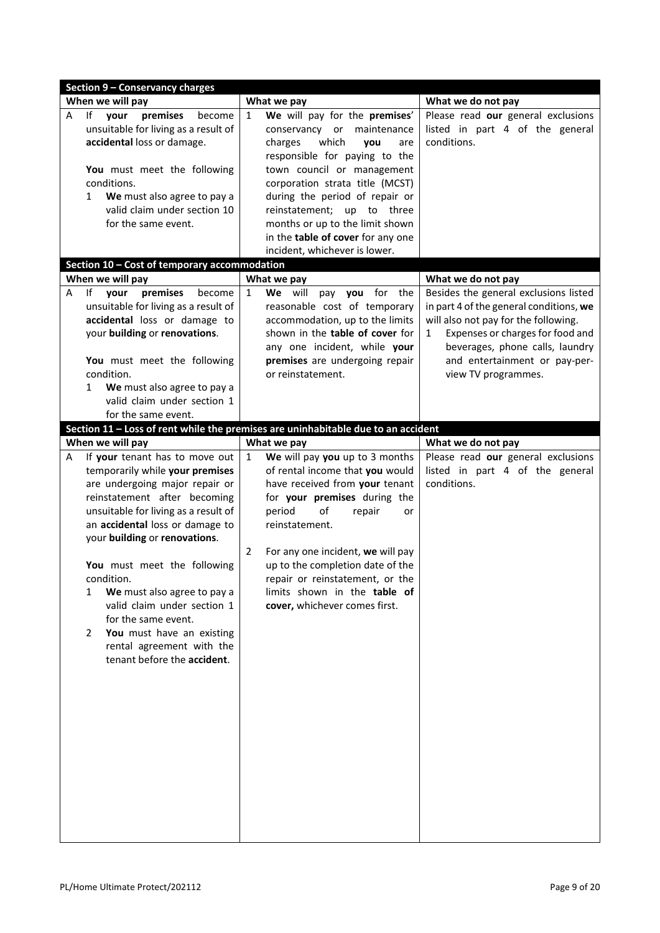|   | Section 9 - Conservancy charges                                                                                                                                                                                                                                                                                                                                                                                                                                                      |                                                                                                                                                                                                                                                                                                                                                                                                      |                                                                                                                                                                                                                                                              |
|---|--------------------------------------------------------------------------------------------------------------------------------------------------------------------------------------------------------------------------------------------------------------------------------------------------------------------------------------------------------------------------------------------------------------------------------------------------------------------------------------|------------------------------------------------------------------------------------------------------------------------------------------------------------------------------------------------------------------------------------------------------------------------------------------------------------------------------------------------------------------------------------------------------|--------------------------------------------------------------------------------------------------------------------------------------------------------------------------------------------------------------------------------------------------------------|
|   | When we will pay                                                                                                                                                                                                                                                                                                                                                                                                                                                                     | What we pay                                                                                                                                                                                                                                                                                                                                                                                          | What we do not pay                                                                                                                                                                                                                                           |
| A | premises<br>١f<br>your<br>become<br>unsuitable for living as a result of<br>accidental loss or damage.<br>You must meet the following<br>conditions.<br>We must also agree to pay a<br>1<br>valid claim under section 10<br>for the same event.                                                                                                                                                                                                                                      | We will pay for the premises'<br>1<br>conservancy or maintenance<br>charges<br>which<br>you<br>are<br>responsible for paying to the<br>town council or management<br>corporation strata title (MCST)<br>during the period of repair or<br>reinstatement; up to three<br>months or up to the limit shown<br>in the table of cover for any one<br>incident, whichever is lower.                        | Please read our general exclusions<br>listed in part 4 of the general<br>conditions.                                                                                                                                                                         |
|   | Section 10 - Cost of temporary accommodation                                                                                                                                                                                                                                                                                                                                                                                                                                         |                                                                                                                                                                                                                                                                                                                                                                                                      |                                                                                                                                                                                                                                                              |
|   | When we will pay                                                                                                                                                                                                                                                                                                                                                                                                                                                                     | What we pay                                                                                                                                                                                                                                                                                                                                                                                          | What we do not pay                                                                                                                                                                                                                                           |
| A | lf<br>your<br>premises<br>become<br>unsuitable for living as a result of<br>accidental loss or damage to<br>your building or renovations.<br>You must meet the following<br>condition.<br>We must also agree to pay a<br>1<br>valid claim under section 1<br>for the same event.                                                                                                                                                                                                     | $\mathbf{1}$<br>We will<br>pay you for the<br>reasonable cost of temporary<br>accommodation, up to the limits<br>shown in the table of cover for<br>any one incident, while your<br>premises are undergoing repair<br>or reinstatement.                                                                                                                                                              | Besides the general exclusions listed<br>in part 4 of the general conditions, we<br>will also not pay for the following.<br>Expenses or charges for food and<br>1<br>beverages, phone calls, laundry<br>and entertainment or pay-per-<br>view TV programmes. |
|   |                                                                                                                                                                                                                                                                                                                                                                                                                                                                                      | Section 11 - Loss of rent while the premises are uninhabitable due to an accident                                                                                                                                                                                                                                                                                                                    |                                                                                                                                                                                                                                                              |
|   | When we will pay                                                                                                                                                                                                                                                                                                                                                                                                                                                                     | What we pay                                                                                                                                                                                                                                                                                                                                                                                          | What we do not pay                                                                                                                                                                                                                                           |
| A | If your tenant has to move out<br>temporarily while your premises<br>are undergoing major repair or<br>reinstatement after becoming<br>unsuitable for living as a result of<br>an accidental loss or damage to<br>your building or renovations.<br>You must meet the following<br>condition.<br>We must also agree to pay a<br>1<br>valid claim under section 1<br>for the same event.<br>You must have an existing<br>2<br>rental agreement with the<br>tenant before the accident. | We will pay you up to 3 months<br>$\mathbf{1}$<br>of rental income that you would<br>have received from your tenant<br>for your premises during the<br>period<br>of<br>repair<br>or<br>reinstatement.<br>$\overline{2}$<br>For any one incident, we will pay<br>up to the completion date of the<br>repair or reinstatement, or the<br>limits shown in the table of<br>cover, whichever comes first. | Please read our general exclusions<br>listed in part 4 of the general<br>conditions.                                                                                                                                                                         |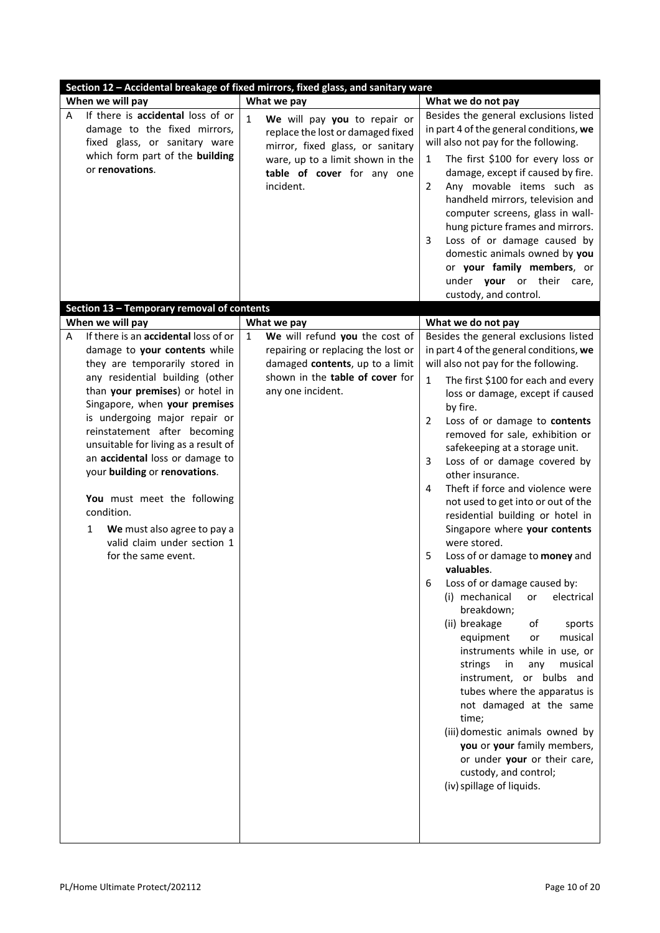|                                                                                                                                                                                                                                                                                                                                                                                                                                                                           | Section 12 - Accidental breakage of fixed mirrors, fixed glass, and sanitary ware |              |                                                                                                                                                                                      |                                                                                                                                                                                                                                                                                                         |                                                                                                                                                                                                                                                                                                                                                                                                                                                                                                                                                                                                                                                                                                                                                                                                                         |
|---------------------------------------------------------------------------------------------------------------------------------------------------------------------------------------------------------------------------------------------------------------------------------------------------------------------------------------------------------------------------------------------------------------------------------------------------------------------------|-----------------------------------------------------------------------------------|--------------|--------------------------------------------------------------------------------------------------------------------------------------------------------------------------------------|---------------------------------------------------------------------------------------------------------------------------------------------------------------------------------------------------------------------------------------------------------------------------------------------------------|-------------------------------------------------------------------------------------------------------------------------------------------------------------------------------------------------------------------------------------------------------------------------------------------------------------------------------------------------------------------------------------------------------------------------------------------------------------------------------------------------------------------------------------------------------------------------------------------------------------------------------------------------------------------------------------------------------------------------------------------------------------------------------------------------------------------------|
| When we will pay                                                                                                                                                                                                                                                                                                                                                                                                                                                          |                                                                                   |              | What we pay                                                                                                                                                                          | What we do not pay                                                                                                                                                                                                                                                                                      |                                                                                                                                                                                                                                                                                                                                                                                                                                                                                                                                                                                                                                                                                                                                                                                                                         |
| If there is accidental loss of or<br>A<br>damage to the fixed mirrors,<br>fixed glass, or sanitary ware<br>which form part of the building<br>or renovations.                                                                                                                                                                                                                                                                                                             |                                                                                   | $\mathbf{1}$ | We will pay you to repair or<br>replace the lost or damaged fixed<br>mirror, fixed glass, or sanitary<br>ware, up to a limit shown in the<br>table of cover for any one<br>incident. | will also not pay for the following.<br>1<br>$\overline{2}$<br>3<br>under your or their<br>custody, and control.                                                                                                                                                                                        | Besides the general exclusions listed<br>in part 4 of the general conditions, we<br>The first \$100 for every loss or<br>damage, except if caused by fire.<br>Any movable items such as<br>handheld mirrors, television and<br>computer screens, glass in wall-<br>hung picture frames and mirrors.<br>Loss of or damage caused by<br>domestic animals owned by you<br>or your family members, or<br>care,                                                                                                                                                                                                                                                                                                                                                                                                              |
| Section 13 - Temporary removal of contents                                                                                                                                                                                                                                                                                                                                                                                                                                |                                                                                   |              |                                                                                                                                                                                      |                                                                                                                                                                                                                                                                                                         |                                                                                                                                                                                                                                                                                                                                                                                                                                                                                                                                                                                                                                                                                                                                                                                                                         |
| When we will pay                                                                                                                                                                                                                                                                                                                                                                                                                                                          |                                                                                   |              | What we pay                                                                                                                                                                          | What we do not pay                                                                                                                                                                                                                                                                                      |                                                                                                                                                                                                                                                                                                                                                                                                                                                                                                                                                                                                                                                                                                                                                                                                                         |
| If there is an accidental loss of or<br>A<br>damage to your contents while<br>they are temporarily stored in<br>any residential building (other<br>than your premises) or hotel in<br>Singapore, when your premises<br>is undergoing major repair or<br>reinstatement after becoming<br>unsuitable for living as a result of<br>an accidental loss or damage to<br>your building or renovations.<br>You must meet the following<br>condition.<br>1<br>for the same event. | We must also agree to pay a<br>valid claim under section 1                        | $\mathbf{1}$ | We will refund you the cost of<br>repairing or replacing the lost or<br>damaged contents, up to a limit<br>shown in the table of cover for<br>any one incident.                      | will also not pay for the following.<br>$\mathbf{1}$<br>by fire.<br>$\mathbf{2}^{\prime}$<br>3<br>other insurance.<br>4<br>were stored.<br>5<br>valuables.<br>6<br>(i) mechanical<br>breakdown;<br>(ii) breakage<br>equipment<br>strings<br>time;<br>custody, and control;<br>(iv) spillage of liquids. | Besides the general exclusions listed<br>in part 4 of the general conditions, we<br>The first \$100 for each and every<br>loss or damage, except if caused<br>Loss of or damage to contents<br>removed for sale, exhibition or<br>safekeeping at a storage unit.<br>Loss of or damage covered by<br>Theft if force and violence were<br>not used to get into or out of the<br>residential building or hotel in<br>Singapore where your contents<br>Loss of or damage to money and<br>Loss of or damage caused by:<br>electrical<br>or<br>of<br>sports<br>musical<br>or<br>instruments while in use, or<br>musical<br>in<br>any<br>instrument, or bulbs and<br>tubes where the apparatus is<br>not damaged at the same<br>(iii) domestic animals owned by<br>you or your family members,<br>or under your or their care, |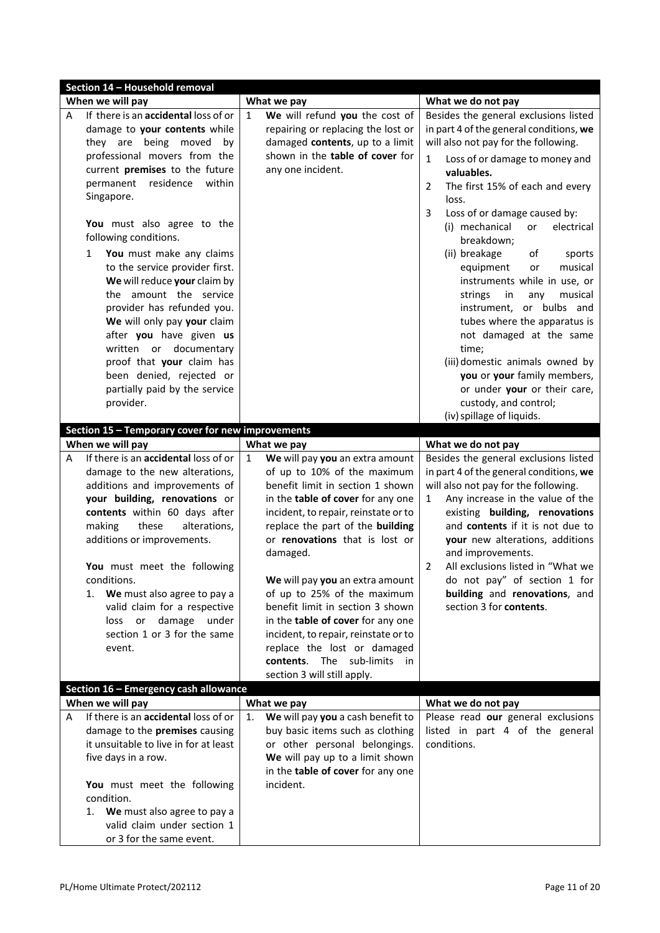|   | Section 14 - Household removal                                                                                                                                                                                                                                                                                                                                                                  |                                                                                                                                                                                                                                                                                                                                                                                                                                                                                                                   |                                                                                                                                                                                                                                                                                                                                                                                              |
|---|-------------------------------------------------------------------------------------------------------------------------------------------------------------------------------------------------------------------------------------------------------------------------------------------------------------------------------------------------------------------------------------------------|-------------------------------------------------------------------------------------------------------------------------------------------------------------------------------------------------------------------------------------------------------------------------------------------------------------------------------------------------------------------------------------------------------------------------------------------------------------------------------------------------------------------|----------------------------------------------------------------------------------------------------------------------------------------------------------------------------------------------------------------------------------------------------------------------------------------------------------------------------------------------------------------------------------------------|
|   | When we will pay                                                                                                                                                                                                                                                                                                                                                                                | What we pay                                                                                                                                                                                                                                                                                                                                                                                                                                                                                                       | What we do not pay                                                                                                                                                                                                                                                                                                                                                                           |
| А | If there is an accidental loss of or                                                                                                                                                                                                                                                                                                                                                            | We will refund you the cost of<br>$\mathbf{1}$                                                                                                                                                                                                                                                                                                                                                                                                                                                                    | Besides the general exclusions listed                                                                                                                                                                                                                                                                                                                                                        |
|   | damage to your contents while                                                                                                                                                                                                                                                                                                                                                                   | repairing or replacing the lost or                                                                                                                                                                                                                                                                                                                                                                                                                                                                                | in part 4 of the general conditions, we                                                                                                                                                                                                                                                                                                                                                      |
|   | they are being moved<br>bv                                                                                                                                                                                                                                                                                                                                                                      | damaged contents, up to a limit                                                                                                                                                                                                                                                                                                                                                                                                                                                                                   | will also not pay for the following.                                                                                                                                                                                                                                                                                                                                                         |
|   | professional movers from the                                                                                                                                                                                                                                                                                                                                                                    | shown in the table of cover for                                                                                                                                                                                                                                                                                                                                                                                                                                                                                   | Loss of or damage to money and<br>$\mathbf{1}$                                                                                                                                                                                                                                                                                                                                               |
|   | current premises to the future                                                                                                                                                                                                                                                                                                                                                                  | any one incident.                                                                                                                                                                                                                                                                                                                                                                                                                                                                                                 | valuables.                                                                                                                                                                                                                                                                                                                                                                                   |
|   | permanent<br>residence<br>within                                                                                                                                                                                                                                                                                                                                                                |                                                                                                                                                                                                                                                                                                                                                                                                                                                                                                                   | The first 15% of each and every<br>2                                                                                                                                                                                                                                                                                                                                                         |
|   | Singapore.                                                                                                                                                                                                                                                                                                                                                                                      |                                                                                                                                                                                                                                                                                                                                                                                                                                                                                                                   | loss.                                                                                                                                                                                                                                                                                                                                                                                        |
|   | You must also agree to the<br>following conditions.<br>You must make any claims<br>1<br>to the service provider first.<br>We will reduce your claim by<br>the amount the service<br>provider has refunded you.<br>We will only pay your claim<br>after you have given us<br>written or documentary                                                                                              |                                                                                                                                                                                                                                                                                                                                                                                                                                                                                                                   | 3<br>Loss of or damage caused by:<br>(i) mechanical<br>or<br>electrical<br>breakdown;<br>(ii) breakage<br>of<br>sports<br>equipment<br>musical<br>or<br>instruments while in use, or<br>strings<br>in<br>musical<br>any<br>instrument, or bulbs and<br>tubes where the apparatus is<br>not damaged at the same<br>time;                                                                      |
|   | proof that your claim has                                                                                                                                                                                                                                                                                                                                                                       |                                                                                                                                                                                                                                                                                                                                                                                                                                                                                                                   | (iii) domestic animals owned by                                                                                                                                                                                                                                                                                                                                                              |
|   | been denied, rejected or                                                                                                                                                                                                                                                                                                                                                                        |                                                                                                                                                                                                                                                                                                                                                                                                                                                                                                                   | you or your family members,                                                                                                                                                                                                                                                                                                                                                                  |
|   | partially paid by the service                                                                                                                                                                                                                                                                                                                                                                   |                                                                                                                                                                                                                                                                                                                                                                                                                                                                                                                   | or under your or their care,                                                                                                                                                                                                                                                                                                                                                                 |
|   | provider.                                                                                                                                                                                                                                                                                                                                                                                       |                                                                                                                                                                                                                                                                                                                                                                                                                                                                                                                   | custody, and control;                                                                                                                                                                                                                                                                                                                                                                        |
|   |                                                                                                                                                                                                                                                                                                                                                                                                 |                                                                                                                                                                                                                                                                                                                                                                                                                                                                                                                   | (iv) spillage of liquids.                                                                                                                                                                                                                                                                                                                                                                    |
|   | Section 15 - Temporary cover for new improvements<br>When we will pay                                                                                                                                                                                                                                                                                                                           | What we pay                                                                                                                                                                                                                                                                                                                                                                                                                                                                                                       | What we do not pay                                                                                                                                                                                                                                                                                                                                                                           |
| A | If there is an accidental loss of or                                                                                                                                                                                                                                                                                                                                                            | $\mathbf{1}$<br>We will pay you an extra amount                                                                                                                                                                                                                                                                                                                                                                                                                                                                   | Besides the general exclusions listed                                                                                                                                                                                                                                                                                                                                                        |
|   |                                                                                                                                                                                                                                                                                                                                                                                                 |                                                                                                                                                                                                                                                                                                                                                                                                                                                                                                                   |                                                                                                                                                                                                                                                                                                                                                                                              |
|   | damage to the new alterations,<br>additions and improvements of<br>your building, renovations or<br>contents within 60 days after<br>making<br>these<br>alterations,<br>additions or improvements.<br>You must meet the following<br>conditions.<br>We must also agree to pay a<br>1.<br>valid claim for a respective<br>damage<br>under<br>loss<br>or<br>section 1 or 3 for the same<br>event. | of up to 10% of the maximum<br>benefit limit in section 1 shown<br>in the table of cover for any one<br>incident, to repair, reinstate or to<br>replace the part of the building<br>or renovations that is lost or<br>damaged.<br>We will pay you an extra amount<br>of up to 25% of the maximum<br>benefit limit in section 3 shown<br>in the table of cover for any one<br>incident, to repair, reinstate or to<br>replace the lost or damaged<br>contents. The sub-limits<br>in<br>section 3 will still apply. | in part 4 of the general conditions, we<br>will also not pay for the following.<br>Any increase in the value of the<br>1<br>existing building, renovations<br>and contents if it is not due to<br>your new alterations, additions<br>and improvements.<br>All exclusions listed in "What we<br>2<br>do not pay" of section 1 for<br>building and renovations, and<br>section 3 for contents. |
|   | Section 16 - Emergency cash allowance                                                                                                                                                                                                                                                                                                                                                           |                                                                                                                                                                                                                                                                                                                                                                                                                                                                                                                   |                                                                                                                                                                                                                                                                                                                                                                                              |
|   | When we will pay                                                                                                                                                                                                                                                                                                                                                                                | What we pay                                                                                                                                                                                                                                                                                                                                                                                                                                                                                                       | What we do not pay                                                                                                                                                                                                                                                                                                                                                                           |
| A | If there is an accidental loss of or                                                                                                                                                                                                                                                                                                                                                            | We will pay you a cash benefit to<br>1.                                                                                                                                                                                                                                                                                                                                                                                                                                                                           | Please read our general exclusions                                                                                                                                                                                                                                                                                                                                                           |
|   | damage to the premises causing                                                                                                                                                                                                                                                                                                                                                                  | buy basic items such as clothing                                                                                                                                                                                                                                                                                                                                                                                                                                                                                  | listed in part 4 of the general                                                                                                                                                                                                                                                                                                                                                              |
|   | it unsuitable to live in for at least                                                                                                                                                                                                                                                                                                                                                           | or other personal belongings.                                                                                                                                                                                                                                                                                                                                                                                                                                                                                     | conditions.                                                                                                                                                                                                                                                                                                                                                                                  |
|   | five days in a row.                                                                                                                                                                                                                                                                                                                                                                             | We will pay up to a limit shown<br>in the table of cover for any one                                                                                                                                                                                                                                                                                                                                                                                                                                              |                                                                                                                                                                                                                                                                                                                                                                                              |
|   | You must meet the following                                                                                                                                                                                                                                                                                                                                                                     | incident.                                                                                                                                                                                                                                                                                                                                                                                                                                                                                                         |                                                                                                                                                                                                                                                                                                                                                                                              |
|   | condition.                                                                                                                                                                                                                                                                                                                                                                                      |                                                                                                                                                                                                                                                                                                                                                                                                                                                                                                                   |                                                                                                                                                                                                                                                                                                                                                                                              |
|   | 1. We must also agree to pay a                                                                                                                                                                                                                                                                                                                                                                  |                                                                                                                                                                                                                                                                                                                                                                                                                                                                                                                   |                                                                                                                                                                                                                                                                                                                                                                                              |
|   | valid claim under section 1<br>or 3 for the same event.                                                                                                                                                                                                                                                                                                                                         |                                                                                                                                                                                                                                                                                                                                                                                                                                                                                                                   |                                                                                                                                                                                                                                                                                                                                                                                              |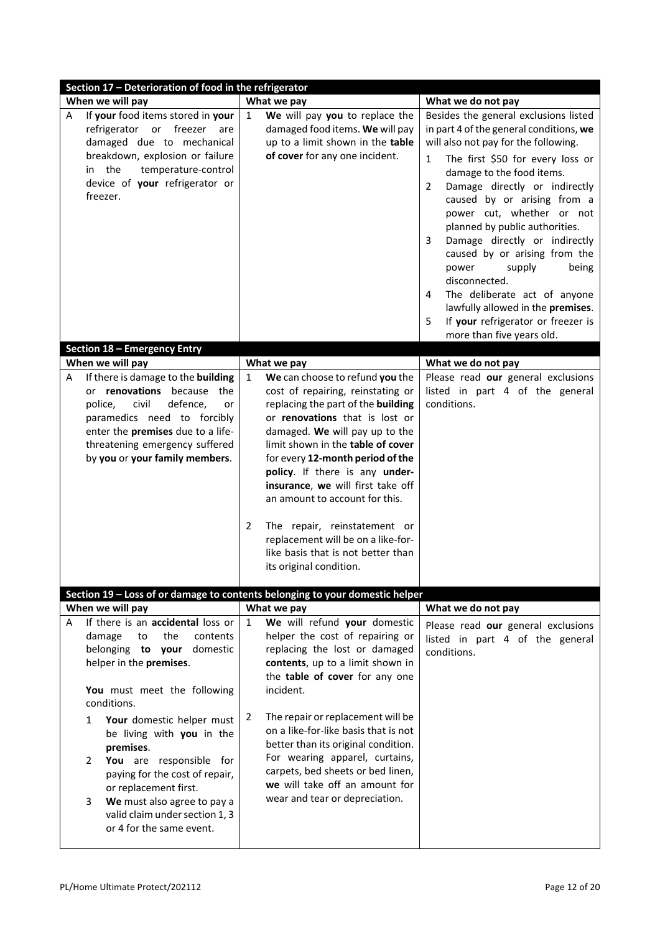| Section 17 - Deterioration of food in the refrigerator                                                                                                                                                                                                                                                                                                                                                                                                                           |                                                                                                                                                                                                                                                                                                                                                                                                                                                                                                                                             |                                                                                                                                                                                                                                                                                                                                                                                                                                                                                                                                                                                                                     |  |  |  |
|----------------------------------------------------------------------------------------------------------------------------------------------------------------------------------------------------------------------------------------------------------------------------------------------------------------------------------------------------------------------------------------------------------------------------------------------------------------------------------|---------------------------------------------------------------------------------------------------------------------------------------------------------------------------------------------------------------------------------------------------------------------------------------------------------------------------------------------------------------------------------------------------------------------------------------------------------------------------------------------------------------------------------------------|---------------------------------------------------------------------------------------------------------------------------------------------------------------------------------------------------------------------------------------------------------------------------------------------------------------------------------------------------------------------------------------------------------------------------------------------------------------------------------------------------------------------------------------------------------------------------------------------------------------------|--|--|--|
| When we will pay                                                                                                                                                                                                                                                                                                                                                                                                                                                                 | What we pay                                                                                                                                                                                                                                                                                                                                                                                                                                                                                                                                 | What we do not pay                                                                                                                                                                                                                                                                                                                                                                                                                                                                                                                                                                                                  |  |  |  |
| If your food items stored in your<br>A<br>refrigerator or freezer are<br>damaged due to mechanical<br>breakdown, explosion or failure<br>in the<br>temperature-control<br>device of your refrigerator or<br>freezer.                                                                                                                                                                                                                                                             | We will pay you to replace the<br>$\mathbf{1}$<br>damaged food items. We will pay<br>up to a limit shown in the table<br>of cover for any one incident.                                                                                                                                                                                                                                                                                                                                                                                     | Besides the general exclusions listed<br>in part 4 of the general conditions, we<br>will also not pay for the following.<br>The first \$50 for every loss or<br>$\mathbf{1}$<br>damage to the food items.<br>Damage directly or indirectly<br>2<br>caused by or arising from a<br>power cut, whether or not<br>planned by public authorities.<br>Damage directly or indirectly<br>3<br>caused by or arising from the<br>supply<br>being<br>power<br>disconnected.<br>The deliberate act of anyone<br>4<br>lawfully allowed in the premises.<br>If your refrigerator or freezer is<br>5<br>more than five years old. |  |  |  |
| <b>Section 18 - Emergency Entry</b>                                                                                                                                                                                                                                                                                                                                                                                                                                              |                                                                                                                                                                                                                                                                                                                                                                                                                                                                                                                                             |                                                                                                                                                                                                                                                                                                                                                                                                                                                                                                                                                                                                                     |  |  |  |
| When we will pay<br>If there is damage to the building<br>A<br>or renovations because the<br>civil<br>defence,<br>police,<br>or<br>paramedics need to forcibly<br>enter the premises due to a life-<br>threatening emergency suffered<br>by you or your family members.                                                                                                                                                                                                          | What we pay<br>$\mathbf{1}$<br>We can choose to refund you the<br>cost of repairing, reinstating or<br>replacing the part of the building<br>or renovations that is lost or<br>damaged. We will pay up to the<br>limit shown in the table of cover<br>for every 12-month period of the<br>policy. If there is any under-<br>insurance, we will first take off<br>an amount to account for this.<br>2<br>The repair, reinstatement or<br>replacement will be on a like-for-<br>like basis that is not better than<br>its original condition. | What we do not pay<br>Please read our general exclusions<br>listed in part 4 of the general<br>conditions.                                                                                                                                                                                                                                                                                                                                                                                                                                                                                                          |  |  |  |
|                                                                                                                                                                                                                                                                                                                                                                                                                                                                                  | Section 19 - Loss of or damage to contents belonging to your domestic helper                                                                                                                                                                                                                                                                                                                                                                                                                                                                |                                                                                                                                                                                                                                                                                                                                                                                                                                                                                                                                                                                                                     |  |  |  |
| When we will pay<br>If there is an accidental loss or<br>A<br>damage<br>to<br>the<br>contents<br>belonging to your<br>domestic<br>helper in the premises.<br>You must meet the following<br>conditions.<br>Your domestic helper must<br>1<br>be living with you in the<br>premises.<br>You are responsible for<br>2<br>paying for the cost of repair,<br>or replacement first.<br>We must also agree to pay a<br>3<br>valid claim under section 1, 3<br>or 4 for the same event. | What we pay<br>We will refund your domestic<br>$\mathbf{1}$<br>helper the cost of repairing or<br>replacing the lost or damaged<br>contents, up to a limit shown in<br>the table of cover for any one<br>incident.<br>The repair or replacement will be<br>2<br>on a like-for-like basis that is not<br>better than its original condition.<br>For wearing apparel, curtains,<br>carpets, bed sheets or bed linen,<br>we will take off an amount for<br>wear and tear or depreciation.                                                      | What we do not pay<br>Please read our general exclusions<br>listed in part 4 of the general<br>conditions.                                                                                                                                                                                                                                                                                                                                                                                                                                                                                                          |  |  |  |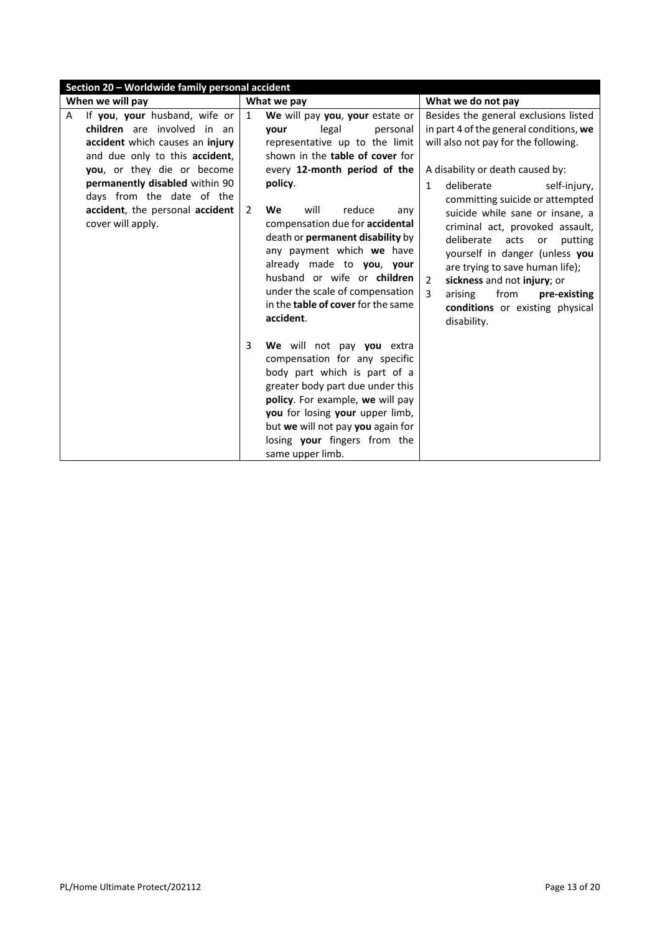|                  | Section 20 - Worldwide family personal accident                                                                                                                                                                                                                                        |                                |                                                                                                                                                                                                                                                                                                                                                                                                                |                                                                                                                                                                                                                                                                                                                                                                                                                                                                                  |  |
|------------------|----------------------------------------------------------------------------------------------------------------------------------------------------------------------------------------------------------------------------------------------------------------------------------------|--------------------------------|----------------------------------------------------------------------------------------------------------------------------------------------------------------------------------------------------------------------------------------------------------------------------------------------------------------------------------------------------------------------------------------------------------------|----------------------------------------------------------------------------------------------------------------------------------------------------------------------------------------------------------------------------------------------------------------------------------------------------------------------------------------------------------------------------------------------------------------------------------------------------------------------------------|--|
| When we will pay |                                                                                                                                                                                                                                                                                        |                                | What we pay                                                                                                                                                                                                                                                                                                                                                                                                    | What we do not pay                                                                                                                                                                                                                                                                                                                                                                                                                                                               |  |
| A                | If you, your husband, wife or<br>children are involved in an<br>accident which causes an injury<br>and due only to this accident,<br>you, or they die or become<br>permanently disabled within 90<br>days from the date of the<br>accident, the personal accident<br>cover will apply. | $\mathbf{1}$<br>$\overline{2}$ | We will pay you, your estate or<br>legal<br>vour<br>personal<br>representative up to the limit<br>shown in the table of cover for<br>every 12-month period of the<br>policy.<br>reduce<br>We<br>will<br>any<br>compensation due for accidental<br>death or permanent disability by<br>any payment which we have<br>already made to you, your<br>husband or wife or children<br>under the scale of compensation | Besides the general exclusions listed<br>in part 4 of the general conditions, we<br>will also not pay for the following.<br>A disability or death caused by:<br>deliberate<br>$\mathbf{1}$<br>self-injury,<br>committing suicide or attempted<br>suicide while sane or insane, a<br>criminal act, provoked assault,<br>deliberate<br>acts<br>putting<br>or<br>yourself in danger (unless you<br>are trying to save human life);<br>$\overline{2}$<br>sickness and not injury; or |  |
|                  |                                                                                                                                                                                                                                                                                        | 3                              | in the table of cover for the same<br>accident.<br>We will not pay you extra<br>compensation for any specific<br>body part which is part of a<br>greater body part due under this<br>policy. For example, we will pay<br>you for losing your upper limb,<br>but we will not pay you again for<br>losing your fingers from the<br>same upper limb.                                                              | 3<br>from<br>arising<br>pre-existing<br>conditions or existing physical<br>disability.                                                                                                                                                                                                                                                                                                                                                                                           |  |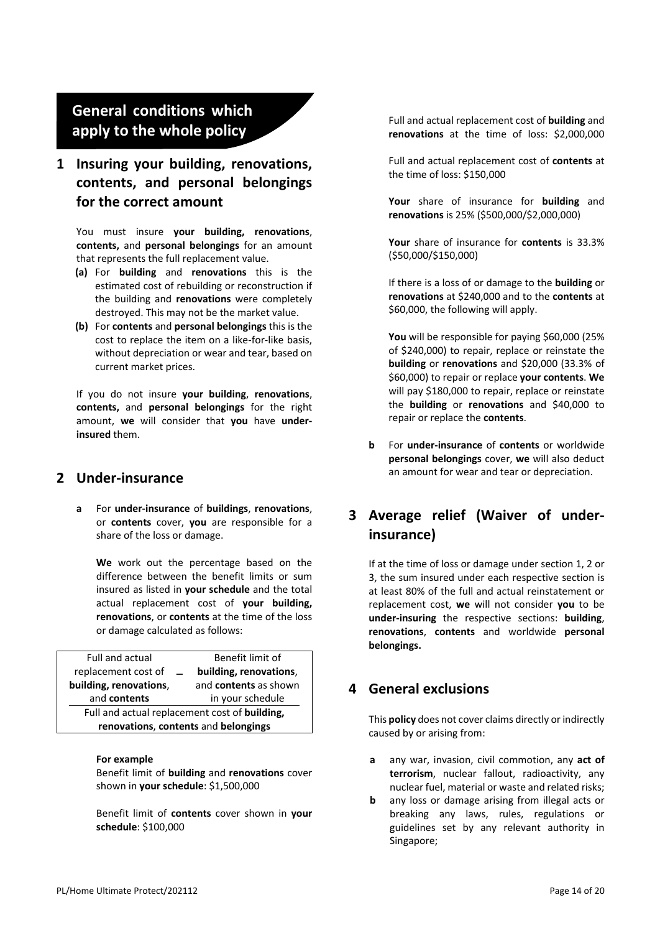# **General conditions which apply to the whole policy**

# **1 Insuring your building, renovations, contents, and personal belongings for the correct amount**

You must insure **your building, renovations**, **contents,** and **personal belongings** for an amount that represents the full replacement value.

- **(a)** For **building** and **renovations** this is the estimated cost of rebuilding or reconstruction if the building and **renovations** were completely destroyed. This may not be the market value.
- **(b)** For **contents** and **personal belongings** this is the cost to replace the item on a like-for-like basis, without depreciation or wear and tear, based on current market prices.

If you do not insure **your building**, **renovations**, **contents,** and **personal belongings** for the right amount, **we** will consider that **you** have **underinsured** them.

#### **2 Under-insurance**

**a** For **under-insurance** of **buildings**, **renovations**, or **contents** cover, **you** are responsible for a share of the loss or damage.

**We** work out the percentage based on the difference between the benefit limits or sum insured as listed in **your schedule** and the total actual replacement cost of **your building, renovations**, or **contents** at the time of the loss or damage calculated as follows:

| Benefit limit of                                      |  |  |  |
|-------------------------------------------------------|--|--|--|
| building, renovations,                                |  |  |  |
| and contents as shown                                 |  |  |  |
| in your schedule                                      |  |  |  |
| Full and actual replacement cost of <b>building</b> , |  |  |  |
| renovations, contents and belongings                  |  |  |  |
|                                                       |  |  |  |

#### **For example**

Benefit limit of **building** and **renovations** cover shown in **your schedule**: \$1,500,000

Benefit limit of **contents** cover shown in **your schedule**: \$100,000

Full and actual replacement cost of **building** and **renovations** at the time of loss: \$2,000,000

Full and actual replacement cost of **contents** at the time of loss: \$150,000

**Your** share of insurance for **building** and **renovations** is 25% (\$500,000/\$2,000,000)

**Your** share of insurance for **contents** is 33.3% (\$50,000/\$150,000)

If there is a loss of or damage to the **building** or **renovations** at \$240,000 and to the **contents** at \$60,000, the following will apply.

**You** will be responsible for paying \$60,000 (25% of \$240,000) to repair, replace or reinstate the **building** or **renovations** and \$20,000 (33.3% of \$60,000) to repair or replace **your contents**. **We** will pay \$180,000 to repair, replace or reinstate the **building** or **renovations** and \$40,000 to repair or replace the **contents**.

**b** For **under-insurance** of **contents** or worldwide **personal belongings** cover, **we** will also deduct an amount for wear and tear or depreciation.

## **3 Average relief (Waiver of underinsurance)**

If at the time of loss or damage under section 1, 2 or 3, the sum insured under each respective section is at least 80% of the full and actual reinstatement or replacement cost, **we** will not consider **you** to be **under-insuring** the respective sections: **building**, **renovations**, **contents** and worldwide **personal belongings.**

## **4 General exclusions**

This **policy** does not cover claims directly or indirectly caused by or arising from:

- **a** any war, invasion, civil commotion, any **act of terrorism**, nuclear fallout, radioactivity, any nuclear fuel, material or waste and related risks;
- **b** any loss or damage arising from illegal acts or breaking any laws, rules, regulations or guidelines set by any relevant authority in Singapore;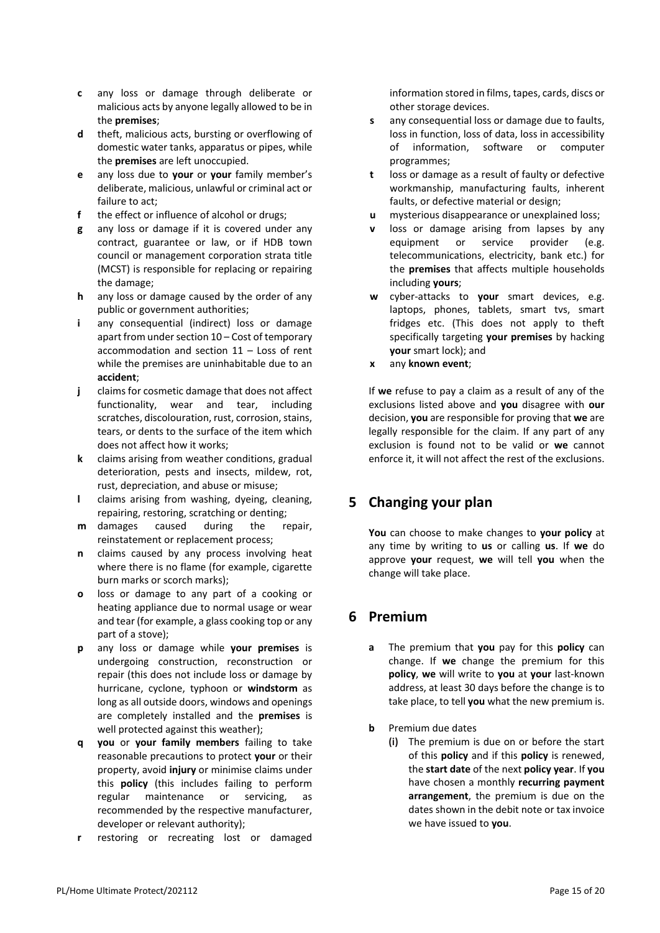- **c** any loss or damage through deliberate or malicious acts by anyone legally allowed to be in the **premises**;
- **d** theft, malicious acts, bursting or overflowing of domestic water tanks, apparatus or pipes, while the **premises** are left unoccupied.
- **e** any loss due to **your** or **your** family member's deliberate, malicious, unlawful or criminal act or failure to act;
- **f** the effect or influence of alcohol or drugs;
- **g** any loss or damage if it is covered under any contract, guarantee or law, or if HDB town council or management corporation strata title (MCST) is responsible for replacing or repairing the damage;
- **h** any loss or damage caused by the order of any public or government authorities;
- **i** any consequential (indirect) loss or damage apart from under section 10 – Cost of temporary accommodation and section 11 – Loss of rent while the premises are uninhabitable due to an **accident**;
- **j** claims for cosmetic damage that does not affect functionality, wear and tear, including scratches, discolouration, rust, corrosion, stains, tears, or dents to the surface of the item which does not affect how it works;
- **k** claims arising from weather conditions, gradual deterioration, pests and insects, mildew, rot, rust, depreciation, and abuse or misuse;
- **l** claims arising from washing, dyeing, cleaning, repairing, restoring, scratching or denting;
- **m** damages caused during the repair, reinstatement or replacement process;
- **n** claims caused by any process involving heat where there is no flame (for example, cigarette burn marks or scorch marks);
- **o** loss or damage to any part of a cooking or heating appliance due to normal usage or wear and tear (for example, a glass cooking top or any part of a stove);
- **p** any loss or damage while **your premises** is undergoing construction, reconstruction or repair (this does not include loss or damage by hurricane, cyclone, typhoon or **windstorm** as long as all outside doors, windows and openings are completely installed and the **premises** is well protected against this weather);
- **q you** or **your family members** failing to take reasonable precautions to protect **your** or their property, avoid **injury** or minimise claims under this **policy** (this includes failing to perform regular maintenance or servicing, as recommended by the respective manufacturer, developer or relevant authority);
- **r** restoring or recreating lost or damaged

information stored in films, tapes, cards, discs or other storage devices.

- **s** any consequential loss or damage due to faults, loss in function, loss of data, loss in accessibility of information, software or computer programmes;
- **t** loss or damage as a result of faulty or defective workmanship, manufacturing faults, inherent faults, or defective material or design;
- **u** mysterious disappearance or unexplained loss;
- **v** loss or damage arising from lapses by any equipment or service provider (e.g. telecommunications, electricity, bank etc.) for the **premises** that affects multiple households including **yours**;
- **w** cyber-attacks to **your** smart devices, e.g. laptops, phones, tablets, smart tvs, smart fridges etc. (This does not apply to theft specifically targeting **your premises** by hacking **your** smart lock); and
- **x** any **known event**;

If **we** refuse to pay a claim as a result of any of the exclusions listed above and **you** disagree with **our** decision, **you** are responsible for proving that **we** are legally responsible for the claim. If any part of any exclusion is found not to be valid or **we** cannot enforce it, it will not affect the rest of the exclusions.

# **5 Changing your plan**

**You** can choose to make changes to **your policy** at any time by writing to **us** or calling **us**. If **we** do approve **your** request, **we** will tell **you** when the change will take place.

# **6 Premium**

- **a** The premium that **you** pay for this **policy** can change. If **we** change the premium for this **policy**, **we** will write to **you** at **your** last-known address, at least 30 days before the change is to take place, to tell **you** what the new premium is.
- **b** Premium due dates
	- **(i)** The premium is due on or before the start of this **policy** and if this **policy** is renewed, the **start date** of the next **policy year**. If **you** have chosen a monthly **recurring payment arrangement**, the premium is due on the dates shown in the debit note or tax invoice we have issued to **you**.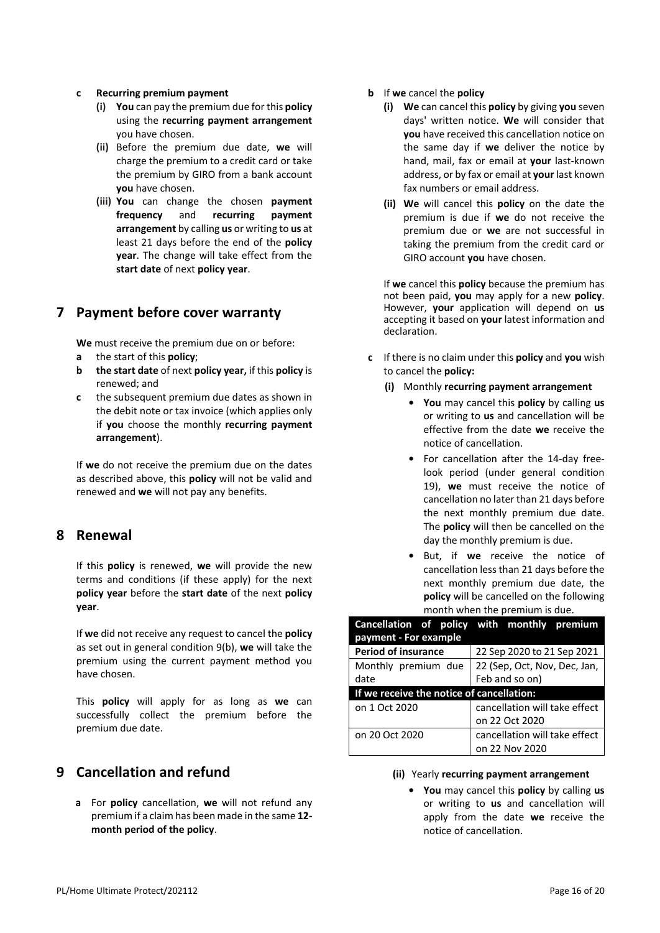#### **c Recurring premium payment**

- **(i) You** can pay the premium due for this **policy** using the **recurring payment arrangement** you have chosen.
- **(ii)** Before the premium due date, **we** will charge the premium to a credit card or take the premium by GIRO from a bank account **you** have chosen.
- **(iii) You** can change the chosen **payment frequency** and **recurring payment arrangement** by calling **us** or writing to **us** at least 21 days before the end of the **policy year**. The change will take effect from the **start date** of next **policy year**.

#### <span id="page-17-2"></span>**7 Payment before cover warranty**

**We** must receive the premium due on or before:

- **a** the start of this **policy**;
- **b the start date** of next **policy year,** if this **policy** is renewed; and
- **c** the subsequent premium due dates as shown in the debit note or tax invoice (which applies only if **you** choose the monthly **recurring payment arrangement**).

If **we** do not receive the premium due on the dates as described above, this **policy** will not be valid and renewed and **we** will not pay any benefits.

## **8 Renewal**

If this **policy** is renewed, **we** will provide the new terms and conditions (if these apply) for the next **policy year** before the **start date** of the next **policy year**.

If **we** did not receive any request to cancel the **policy** as set out in general condition [9\(](#page-17-0)[b\)](#page-17-1), **we** will take the premium using the current payment method you have chosen.

This **policy** will apply for as long as **we** can successfully collect the premium before the premium due date.

## <span id="page-17-0"></span>**9 Cancellation and refund**

<span id="page-17-3"></span>**a** For **policy** cancellation, **we** will not refund any premium if a claim has been made in the same **12 month period of the policy**.

- <span id="page-17-1"></span>**b** If **we** cancel the **policy**
	- **(i) We** can cancel this **policy** by giving **you** seven days' written notice. **We** will consider that **you** have received this cancellation notice on the same day if **we** deliver the notice by hand, mail, fax or email at **your** last-known address, or by fax or email at **your** last known fax numbers or email address.
	- **(ii) We** will cancel this **policy** on the date the premium is due if **we** do not receive the premium due or **we** are not successful in taking the premium from the credit card or GIRO account **you** have chosen.

If **we** cancel this **policy** because the premium has not been paid, **you** may apply for a new **policy**. However, **your** application will depend on **us** accepting it based on **your** latest information and declaration.

- **c** If there is no claim under this **policy** and **you** wish to cancel the **policy:**
	- **(i)** Monthly **recurring payment arrangement**
		- **• You** may cancel this **policy** by calling **us**  or writing to **us** and cancellation will be effective from the date **we** receive the notice of cancellation.
		- **•** For cancellation after the 14-day freelook period (under general condition 19), **we** must receive the notice of cancellation no later than 21 days before the next monthly premium due date. The **policy** will then be cancelled on the day the monthly premium is due.
		- **•** But, if **we** receive the notice of cancellation less than 21 days before the next monthly premium due date, the **policy** will be cancelled on the following month when the premium is due.

|                                           | Cancellation of policy with monthly premium |  |  |
|-------------------------------------------|---------------------------------------------|--|--|
| payment - For example                     |                                             |  |  |
| <b>Period of insurance</b>                | 22 Sep 2020 to 21 Sep 2021                  |  |  |
| Monthly premium due                       | 22 (Sep, Oct, Nov, Dec, Jan,                |  |  |
| date                                      | Feb and so on)                              |  |  |
| If we receive the notice of cancellation: |                                             |  |  |
| on 1 Oct 2020                             | cancellation will take effect               |  |  |
|                                           | on 22 Oct 2020                              |  |  |
| on 20 Oct 2020                            | cancellation will take effect               |  |  |
|                                           | on 22 Nov 2020                              |  |  |

- **(ii)** Yearly **recurring payment arrangement**
	- **• You** may cancel this **policy** by calling **us**  or writing to **us** and cancellation will apply from the date **we** receive the notice of cancellation.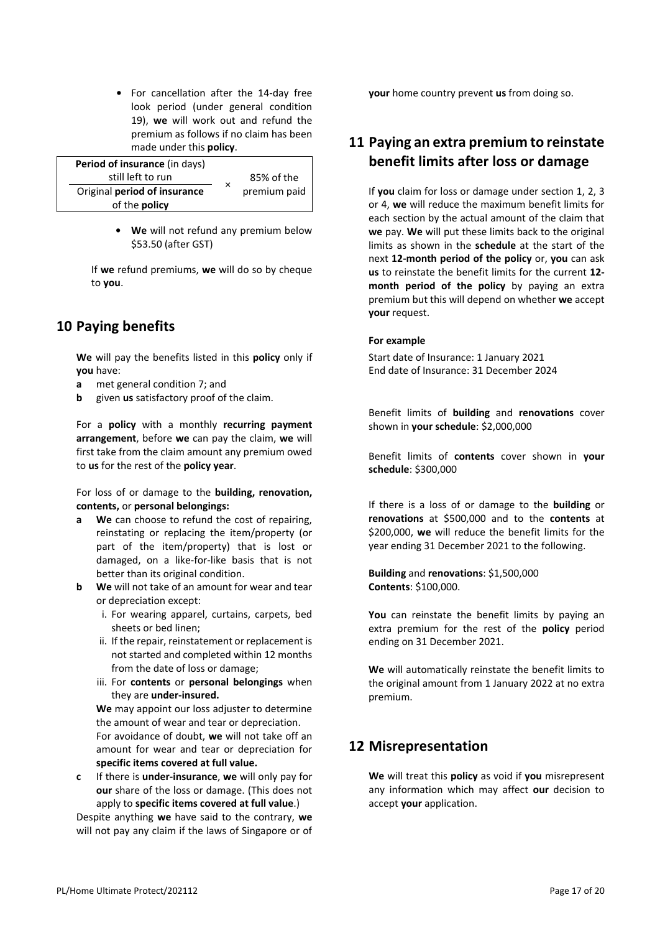**•** For cancellation after the 14-day free look period (under general condition [19\)](#page-20-0), **we** will work out and refund the premium as follows if no claim has been made under this **policy**.

| Period of insurance (in days) |   |              |
|-------------------------------|---|--------------|
| still left to run             |   | 85% of the   |
| Original period of insurance  | × | premium paid |
| of the <b>policy</b>          |   |              |

**• We** will not refund any premium below \$53.50 (after GST)

If **we** refund premiums, **we** will do so by cheque to **you**.

# **10 Paying benefits**

**We** will pay the benefits listed in this **policy** only if **you** have:

- **a** met general condition [7;](#page-17-2) and
- **b** given **us** satisfactory proof of the claim.

For a **policy** with a monthly **recurring payment arrangement**, before **we** can pay the claim, **we** will first take from the claim amount any premium owed to **us** for the rest of the **policy year**.

For loss of or damage to the **building, renovation, contents,** or **personal belongings:**

- **a We** can choose to refund the cost of repairing, reinstating or replacing the item/property (or part of the item/property) that is lost or damaged, on a like-for-like basis that is not better than its original condition.
- **b We** will not take of an amount for wear and tear or depreciation except:
	- i. For wearing apparel, curtains, carpets, bed sheets or bed linen;
	- ii. If the repair, reinstatement or replacement is not started and completed within 12 months from the date of loss or damage;
	- iii. For **contents** or **personal belongings** when they are **under-insured.**

**We** may appoint our loss adjuster to determine the amount of wear and tear or depreciation. For avoidance of doubt, **we** will not take off an amount for wear and tear or depreciation for **specific items covered at full value.**

**c** If there is **under-insurance**, **we** will only pay for **our** share of the loss or damage. (This does not apply to **specific items covered at full value**.)

Despite anything **we** have said to the contrary, **we** will not pay any claim if the laws of Singapore or of **your** home country prevent **us** from doing so.

## **11 Paying an extra premium to reinstate benefit limits after loss or damage**

If **you** claim for loss or damage under section 1, 2, 3 or 4, **we** will reduce the maximum benefit limits for each section by the actual amount of the claim that **we** pay. **We** will put these limits back to the original limits as shown in the **schedule** at the start of the next **12-month period of the policy** or, **you** can ask **us** to reinstate the benefit limits for the current **12 month period of the policy** by paying an extra premium but this will depend on whether **we** accept **your** request.

#### **For example**

Start date of Insurance: 1 January 2021 End date of Insurance: 31 December 2024

Benefit limits of **building** and **renovations** cover shown in **your schedule**: \$2,000,000

Benefit limits of **contents** cover shown in **your schedule**: \$300,000

If there is a loss of or damage to the **building** or **renovations** at \$500,000 and to the **contents** at \$200,000, **we** will reduce the benefit limits for the year ending 31 December 2021 to the following.

**Building** and **renovations**: \$1,500,000 **Contents**: \$100,000.

**You** can reinstate the benefit limits by paying an extra premium for the rest of the **policy** period ending on 31 December 2021.

**We** will automatically reinstate the benefit limits to the original amount from 1 January 2022 at no extra premium.

#### **12 Misrepresentation**

**We** will treat this **policy** as void if **you** misrepresent any information which may affect **our** decision to accept **your** application.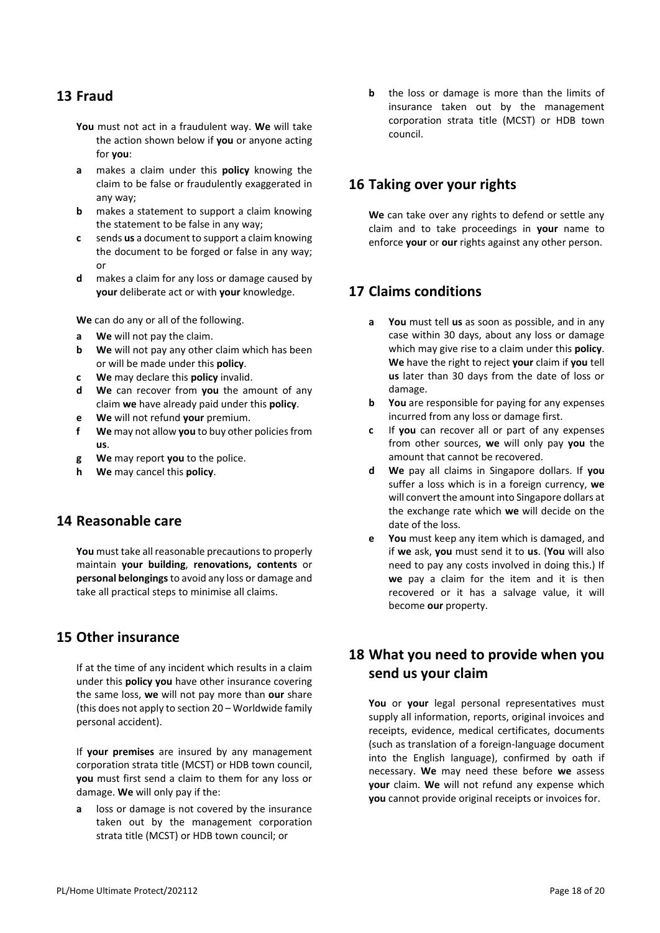## <span id="page-19-0"></span>**13 Fraud**

- **You** must not act in a fraudulent way. **We** will take the action shown below if **you** or anyone acting for **you**:
- **a** makes a claim under this **policy** knowing the claim to be false or fraudulently exaggerated in any way;
- **b** makes a statement to support a claim knowing the statement to be false in any way;
- **c** sends **us** a document to support a claim knowing the document to be forged or false in any way; or
- **d** makes a claim for any loss or damage caused by **your** deliberate act or with **your** knowledge.

**We** can do any or all of the following.

- **a We** will not pay the claim.
- **b We** will not pay any other claim which has been or will be made under this **policy**.
- **c We** may declare this **policy** invalid.
- **d We** can recover from **you** the amount of any claim **we** have already paid under this **policy**.
- **e We** will not refund **your** premium.
- **f We** may not allow **you** to buy other policies from **us**.
- **g We** may report **you** to the police.
- **h We** may cancel this **policy**.

#### **14 Reasonable care**

**You** must take all reasonable precautions to properly maintain **your building**, **renovations, contents** or **personal belongings** to avoid any loss or damage and take all practical steps to minimise all claims.

#### **15 Other insurance**

If at the time of any incident which results in a claim under this **policy you** have other insurance covering the same loss, **we** will not pay more than **our** share (this does not apply to section 20 – Worldwide family personal accident).

If **your premises** are insured by any management corporation strata title (MCST) or HDB town council, **you** must first send a claim to them for any loss or damage. **We** will only pay if the:

**a** loss or damage is not covered by the insurance taken out by the management corporation strata title (MCST) or HDB town council; or

**b** the loss or damage is more than the limits of insurance taken out by the management corporation strata title (MCST) or HDB town council.

#### **16 Taking over your rights**

**We** can take over any rights to defend or settle any claim and to take proceedings in **your** name to enforce **your** or **our** rights against any other person.

## **17 Claims conditions**

- **a You** must tell **us** as soon as possible, and in any case within 30 days, about any loss or damage which may give rise to a claim under this **policy**. **We** have the right to reject **your** claim if **you** tell **us** later than 30 days from the date of loss or damage.
- **b You** are responsible for paying for any expenses incurred from any loss or damage first.
- **c** If **you** can recover all or part of any expenses from other sources, **we** will only pay **you** the amount that cannot be recovered.
- **d We** pay all claims in Singapore dollars. If **you**  suffer a loss which is in a foreign currency, **we**  will convert the amount into Singapore dollars at the exchange rate which **we** will decide on the date of the loss.
- **e You** must keep any item which is damaged, and if **we** ask, **you** must send it to **us**. (**You** will also need to pay any costs involved in doing this.) If **we** pay a claim for the item and it is then recovered or it has a salvage value, it will become **our** property.

# **18 What you need to provide when you send us your claim**

You or your legal personal representatives must supply all information, reports, original invoices and receipts, evidence, medical certificates, documents (such as translation of a foreign-language document into the English language), confirmed by oath if necessary. **We** may need these before **we** assess **your** claim. **We** will not refund any expense which **you** cannot provide original receipts or invoices for.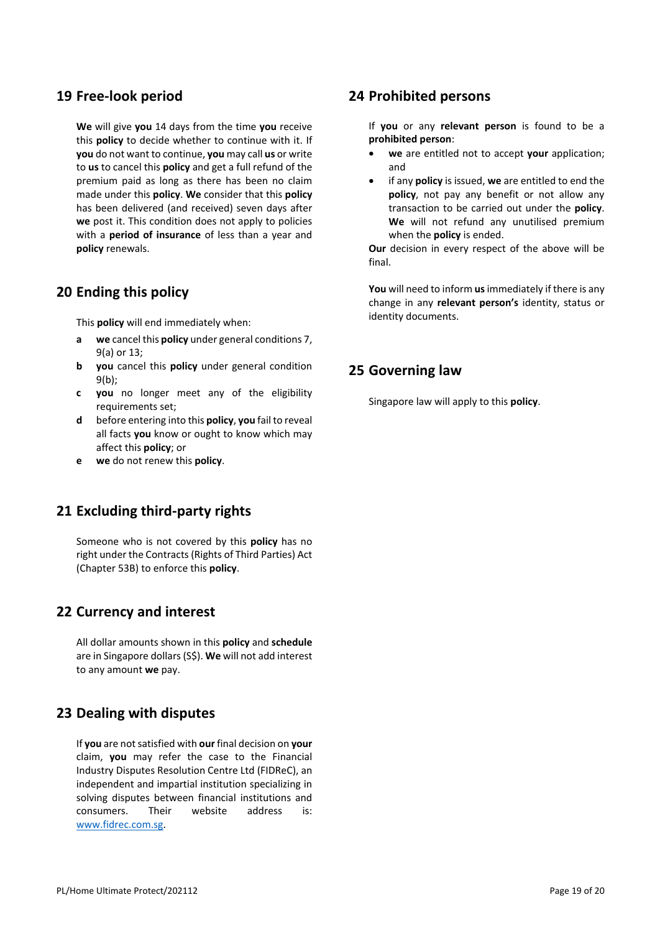#### <span id="page-20-0"></span>**19 Free-look period**

**We** will give **you** 14 days from the time **you** receive this **policy** to decide whether to continue with it. If **you** do not want to continue, **you** may call **us** or write to **us** to cancel this **policy** and get a full refund of the premium paid as long as there has been no claim made under this **policy**. **We** consider that this **policy**  has been delivered (and received) seven days after **we** post it. This condition does not apply to policies with a **period of insurance** of less than a year and **policy** renewals.

## **20 Ending this policy**

This **policy** will end immediately when:

- **a we** cancel this **policy** under general condition[s 7,](#page-17-2) [9](#page-17-0)[\(a\)](#page-17-3) o[r 13;](#page-19-0)
- **b you** cancel this **policy** under general condition 9[\(b\)](#page-17-1);
- **c you** no longer meet any of the eligibility requirements set;
- **d** before entering into this **policy**, **you** fail to reveal all facts **you** know or ought to know which may affect this **policy**; or
- **e we** do not renew this **policy**.

# **21 Excluding third-party rights**

Someone who is not covered by this **policy** has no right under the Contracts (Rights of Third Parties) Act (Chapter 53B) to enforce this **policy**.

## **22 Currency and interest**

All dollar amounts shown in this **policy** and **schedule**  are in Singapore dollars (S\$). **We** will not add interest to any amount **we** pay.

## **23 Dealing with disputes**

If **you** are not satisfied with **our** final decision on **your**  claim, **you** may refer the case to the Financial Industry Disputes Resolution Centre Ltd (FIDReC), an independent and impartial institution specializing in solving disputes between financial institutions and consumers. Their website address is: [www.fidrec.com.sg.](http://www.fidrec.com.sg/) 

#### **24 Prohibited persons**

If **you** or any **relevant person** is found to be a **prohibited person**:

- **we** are entitled not to accept **your** application; and
- if any **policy** is issued, **we** are entitled to end the **policy**, not pay any benefit or not allow any transaction to be carried out under the **policy**. **We** will not refund any unutilised premium when the **policy** is ended.

**Our** decision in every respect of the above will be final.

**You** will need to inform **us**immediately if there is any change in any **relevant person's** identity, status or identity documents.

## **25 Governing law**

Singapore law will apply to this **policy**.